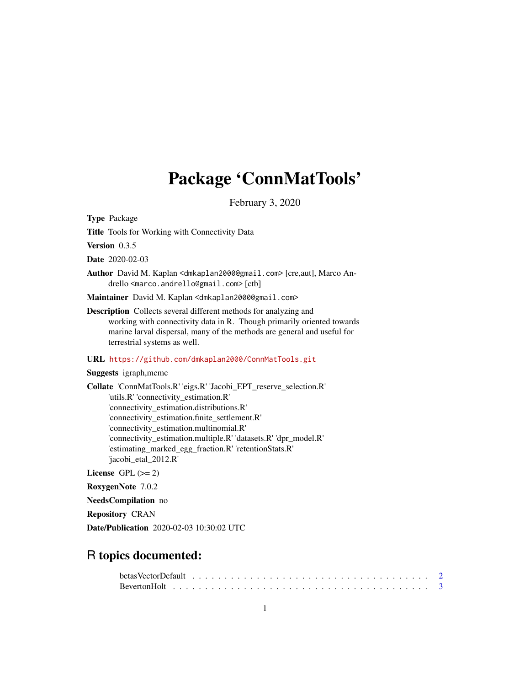# Package 'ConnMatTools'

February 3, 2020

<span id="page-0-0"></span>Type Package

Title Tools for Working with Connectivity Data

Version 0.3.5

Date 2020-02-03

Author David M. Kaplan <dmkaplan2000@gmail.com> [cre,aut], Marco Andrello <marco.andrello@gmail.com> [ctb]

Maintainer David M. Kaplan <dmkaplan2000@gmail.com>

Description Collects several different methods for analyzing and working with connectivity data in R. Though primarily oriented towards marine larval dispersal, many of the methods are general and useful for terrestrial systems as well.

URL <https://github.com/dmkaplan2000/ConnMatTools.git>

Suggests igraph,mcmc

Collate 'ConnMatTools.R' 'eigs.R' 'Jacobi\_EPT\_reserve\_selection.R' 'utils.R' 'connectivity\_estimation.R' 'connectivity\_estimation.distributions.R' 'connectivity\_estimation.finite\_settlement.R' 'connectivity\_estimation.multinomial.R' 'connectivity\_estimation.multiple.R' 'datasets.R' 'dpr\_model.R' 'estimating\_marked\_egg\_fraction.R' 'retentionStats.R' 'jacobi\_etal\_2012.R'

License GPL  $(>= 2)$ 

RoxygenNote 7.0.2

NeedsCompilation no

Repository CRAN

Date/Publication 2020-02-03 10:30:02 UTC

# R topics documented: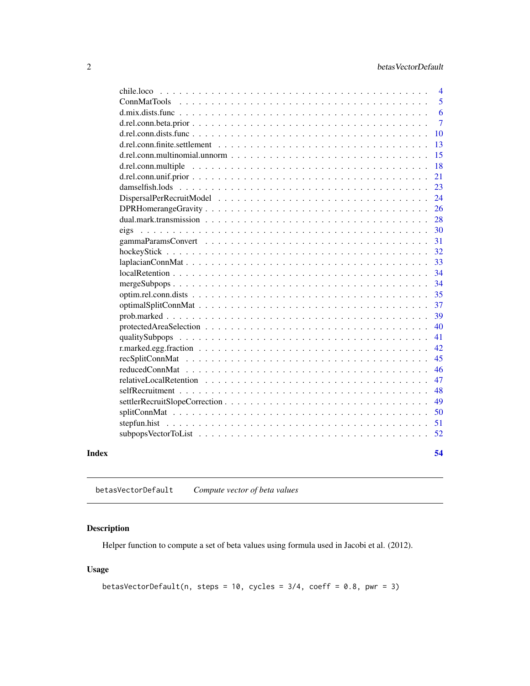<span id="page-1-0"></span>

| Index |                                                                                                                   | 54                  |
|-------|-------------------------------------------------------------------------------------------------------------------|---------------------|
|       |                                                                                                                   |                     |
|       |                                                                                                                   | 51<br>52            |
|       |                                                                                                                   | 50                  |
|       |                                                                                                                   | 49                  |
|       |                                                                                                                   | 48                  |
|       |                                                                                                                   | 47                  |
|       |                                                                                                                   | 46                  |
|       |                                                                                                                   | 45                  |
|       |                                                                                                                   | 42                  |
|       |                                                                                                                   | 41                  |
|       |                                                                                                                   | 40                  |
|       |                                                                                                                   | 39                  |
|       |                                                                                                                   | 37                  |
|       |                                                                                                                   | 35                  |
|       |                                                                                                                   | 34                  |
|       | $local Retention \dots \dots \dots \dots \dots \dots \dots \dots \dots \dots \dots \dots \dots \dots \dots \dots$ | 34                  |
|       |                                                                                                                   | 33                  |
|       |                                                                                                                   | 32                  |
|       |                                                                                                                   | 31                  |
|       | eigs                                                                                                              | 30                  |
|       |                                                                                                                   | 28                  |
|       |                                                                                                                   | 26                  |
|       |                                                                                                                   | 24                  |
|       |                                                                                                                   | 23                  |
|       |                                                                                                                   | 21                  |
|       |                                                                                                                   | 18                  |
|       |                                                                                                                   | 15                  |
|       |                                                                                                                   | 13                  |
|       |                                                                                                                   | 10                  |
|       |                                                                                                                   | $\overline{7}$      |
|       |                                                                                                                   | 6                   |
|       | chile.loco-<br><b>ConnMatTools</b>                                                                                | $\overline{4}$<br>5 |
|       |                                                                                                                   |                     |

<span id="page-1-1"></span>betasVectorDefault *Compute vector of beta values*

# Description

Helper function to compute a set of beta values using formula used in Jacobi et al. (2012).

# Usage

betasVectorDefault(n, steps = 10, cycles =  $3/4$ , coeff = 0.8, pwr = 3)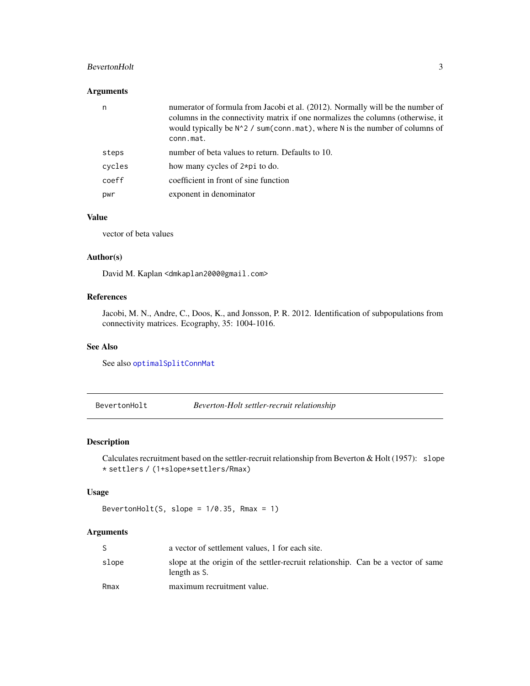# <span id="page-2-0"></span>BevertonHolt 3

# Arguments

| n      | numerator of formula from Jacobi et al. (2012). Normally will be the number of<br>columns in the connectivity matrix if one normalizes the columns (otherwise, it<br>would typically be N <sup>2</sup> / sum(conn.mat), where N is the number of columns of<br>conn.mat. |
|--------|--------------------------------------------------------------------------------------------------------------------------------------------------------------------------------------------------------------------------------------------------------------------------|
| steps  | number of beta values to return. Defaults to 10.                                                                                                                                                                                                                         |
| cycles | how many cycles of 2*pi to do.                                                                                                                                                                                                                                           |
| coeff  | coefficient in front of sine function                                                                                                                                                                                                                                    |
| pwr    | exponent in denominator                                                                                                                                                                                                                                                  |

# Value

vector of beta values

# Author(s)

David M. Kaplan <dmkaplan2000@gmail.com>

# References

Jacobi, M. N., Andre, C., Doos, K., and Jonsson, P. R. 2012. Identification of subpopulations from connectivity matrices. Ecography, 35: 1004-1016.

#### See Also

See also [optimalSplitConnMat](#page-36-1)

<span id="page-2-1"></span>BevertonHolt *Beverton-Holt settler-recruit relationship*

# Description

Calculates recruitment based on the settler-recruit relationship from Beverton & Holt (1957): slope \* settlers / (1+slope\*settlers/Rmax)

### Usage

BevertonHolt(S, slope =  $1/0.35$ , Rmax = 1)

# Arguments

|       | a vector of settlement values, 1 for each site.                                                  |
|-------|--------------------------------------------------------------------------------------------------|
| slope | slope at the origin of the settler-recruit relationship. Can be a vector of same<br>length as S. |
| Rmax  | maximum recruitment value.                                                                       |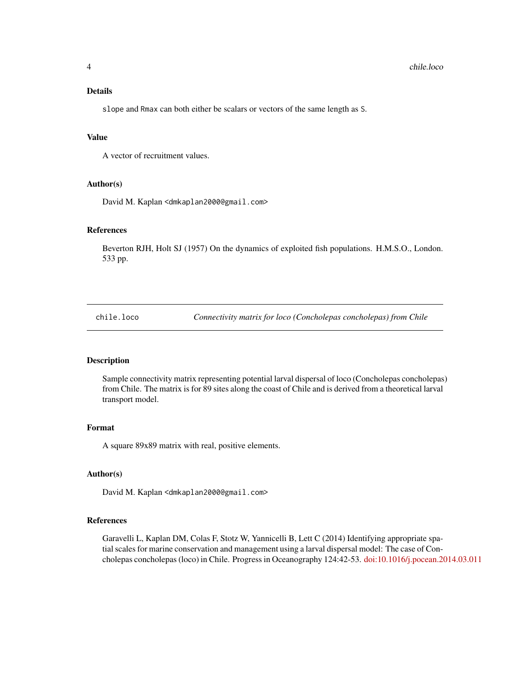# <span id="page-3-0"></span>Details

slope and Rmax can both either be scalars or vectors of the same length as S.

# Value

A vector of recruitment values.

#### Author(s)

David M. Kaplan <dmkaplan2000@gmail.com>

#### References

Beverton RJH, Holt SJ (1957) On the dynamics of exploited fish populations. H.M.S.O., London. 533 pp.

chile.loco *Connectivity matrix for loco (Concholepas concholepas) from Chile*

#### Description

Sample connectivity matrix representing potential larval dispersal of loco (Concholepas concholepas) from Chile. The matrix is for 89 sites along the coast of Chile and is derived from a theoretical larval transport model.

### Format

A square 89x89 matrix with real, positive elements.

#### Author(s)

David M. Kaplan <dmkaplan2000@gmail.com>

#### References

Garavelli L, Kaplan DM, Colas F, Stotz W, Yannicelli B, Lett C (2014) Identifying appropriate spatial scales for marine conservation and management using a larval dispersal model: The case of Concholepas concholepas (loco) in Chile. Progress in Oceanography 124:42-53. [doi:10.1016/j.pocean.2014.03.011](http://dx.doi.org/10.1016/j.pocean.2014.03.011)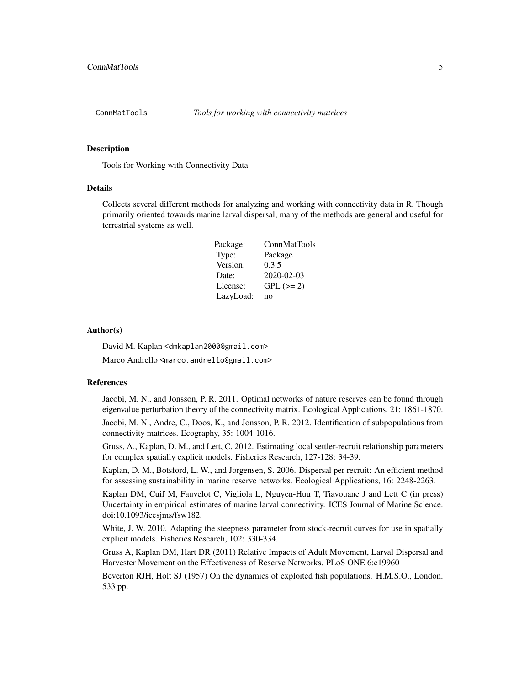<span id="page-4-0"></span>

#### Description

Tools for Working with Connectivity Data

#### Details

Collects several different methods for analyzing and working with connectivity data in R. Though primarily oriented towards marine larval dispersal, many of the methods are general and useful for terrestrial systems as well.

| Package:  | <b>ConnMatTools</b> |
|-----------|---------------------|
| Type:     | Package             |
| Version:  | 0.3.5               |
| Date:     | $2020 - 02 - 03$    |
| License:  | $GPL (=2)$          |
| LazyLoad: | no                  |

#### Author(s)

David M. Kaplan <dmkaplan2000@gmail.com>

Marco Andrello <marco.andrello@gmail.com>

#### References

Jacobi, M. N., and Jonsson, P. R. 2011. Optimal networks of nature reserves can be found through eigenvalue perturbation theory of the connectivity matrix. Ecological Applications, 21: 1861-1870.

Jacobi, M. N., Andre, C., Doos, K., and Jonsson, P. R. 2012. Identification of subpopulations from connectivity matrices. Ecography, 35: 1004-1016.

Gruss, A., Kaplan, D. M., and Lett, C. 2012. Estimating local settler-recruit relationship parameters for complex spatially explicit models. Fisheries Research, 127-128: 34-39.

Kaplan, D. M., Botsford, L. W., and Jorgensen, S. 2006. Dispersal per recruit: An efficient method for assessing sustainability in marine reserve networks. Ecological Applications, 16: 2248-2263.

Kaplan DM, Cuif M, Fauvelot C, Vigliola L, Nguyen-Huu T, Tiavouane J and Lett C (in press) Uncertainty in empirical estimates of marine larval connectivity. ICES Journal of Marine Science. doi:10.1093/icesjms/fsw182.

White, J. W. 2010. Adapting the steepness parameter from stock-recruit curves for use in spatially explicit models. Fisheries Research, 102: 330-334.

Gruss A, Kaplan DM, Hart DR (2011) Relative Impacts of Adult Movement, Larval Dispersal and Harvester Movement on the Effectiveness of Reserve Networks. PLoS ONE 6:e19960

Beverton RJH, Holt SJ (1957) On the dynamics of exploited fish populations. H.M.S.O., London. 533 pp.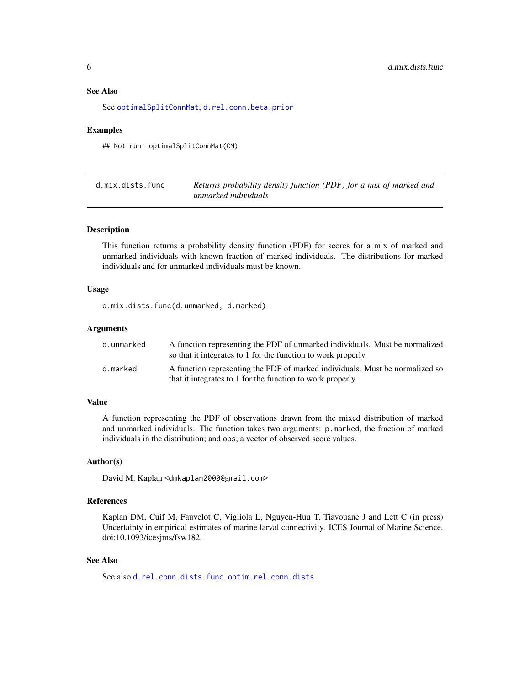# <span id="page-5-0"></span>See Also

See [optimalSplitConnMat](#page-36-1), [d.rel.conn.beta.prior](#page-6-1)

#### Examples

## Not run: optimalSplitConnMat(CM)

| d.mix.dists.func | Returns probability density function (PDF) for a mix of marked and |
|------------------|--------------------------------------------------------------------|
|                  | unmarked individuals                                               |

# Description

This function returns a probability density function (PDF) for scores for a mix of marked and unmarked individuals with known fraction of marked individuals. The distributions for marked individuals and for unmarked individuals must be known.

# Usage

d.mix.dists.func(d.unmarked, d.marked)

#### Arguments

| d.unmarked | A function representing the PDF of unmarked individuals. Must be normalized<br>so that it integrates to 1 for the function to work properly. |
|------------|----------------------------------------------------------------------------------------------------------------------------------------------|
| d.marked   | A function representing the PDF of marked individuals. Must be normalized so<br>that it integrates to 1 for the function to work properly.   |

#### Value

A function representing the PDF of observations drawn from the mixed distribution of marked and unmarked individuals. The function takes two arguments: p.marked, the fraction of marked individuals in the distribution; and obs, a vector of observed score values.

#### Author(s)

David M. Kaplan <dmkaplan2000@gmail.com>

#### References

Kaplan DM, Cuif M, Fauvelot C, Vigliola L, Nguyen-Huu T, Tiavouane J and Lett C (in press) Uncertainty in empirical estimates of marine larval connectivity. ICES Journal of Marine Science. doi:10.1093/icesjms/fsw182.

#### See Also

See also [d.rel.conn.dists.func](#page-9-1), [optim.rel.conn.dists](#page-34-1).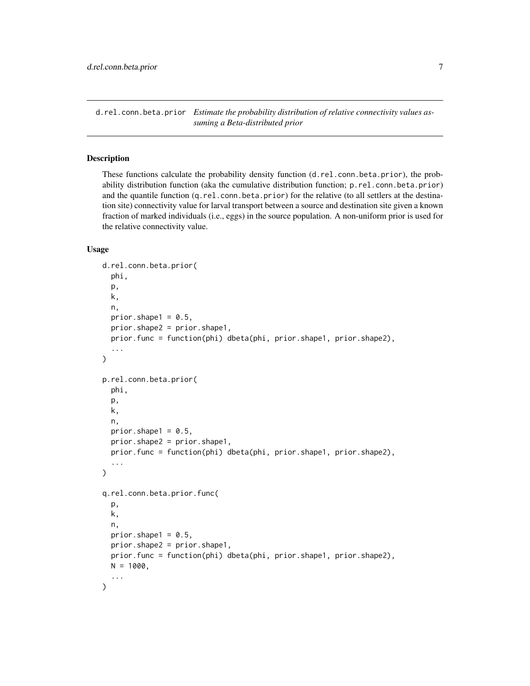<span id="page-6-1"></span><span id="page-6-0"></span>d.rel.conn.beta.prior *Estimate the probability distribution of relative connectivity values assuming a Beta-distributed prior*

# <span id="page-6-2"></span>Description

These functions calculate the probability density function (d.rel.conn.beta.prior), the probability distribution function (aka the cumulative distribution function; p.rel.conn.beta.prior) and the quantile function (q.rel.conn.beta.prior) for the relative (to all settlers at the destination site) connectivity value for larval transport between a source and destination site given a known fraction of marked individuals (i.e., eggs) in the source population. A non-uniform prior is used for the relative connectivity value.

#### Usage

```
d.rel.conn.beta.prior(
 phi,
 p,
 k,
 n,
 prior.shape1 = 0.5,
 prior.shape2 = prior.shape1,
 prior.func = function(phi) dbeta(phi, prior.shape1, prior.shape2),
  ...
\lambdap.rel.conn.beta.prior(
 phi,
 p,
 k,
 n,
 prior.shape1 = 0.5,
 prior.shape2 = prior.shape1,
 prior.func = function(phi) dbeta(phi, prior.shape1, prior.shape2),
  ...
\lambdaq.rel.conn.beta.prior.func(
 p,
 k,
 n,
 prior.shape1 = 0.5,
 prior.shape2 = prior.shape1,
 prior.func = function(phi) dbeta(phi, prior.shape1, prior.shape2),
 N = 1000,
  ...
)
```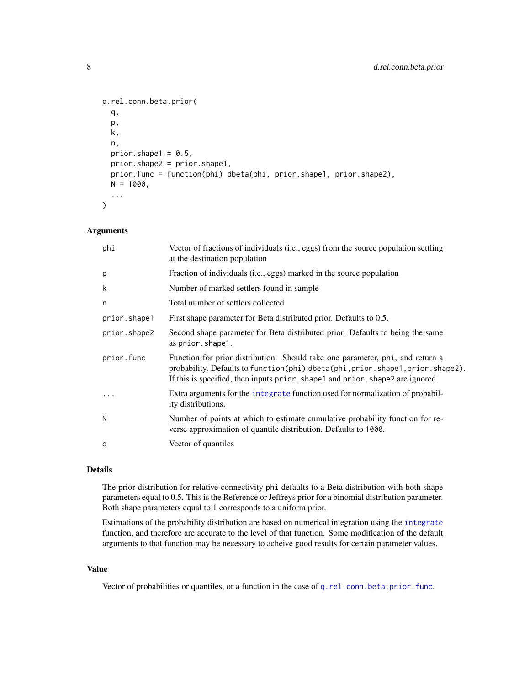```
q.rel.conn.beta.prior(
  q,
 p,
 k,
 n,
 prior.shape1 = 0.5,
 prior.shape2 = prior.shape1,
 prior.func = function(phi) dbeta(phi, prior.shape1, prior.shape2),
 N = 1000,
  ...
\mathcal{E}
```
#### Arguments

| phi          | Vector of fractions of individuals (i.e., eggs) from the source population settling<br>at the destination population                                                                                                                              |
|--------------|---------------------------------------------------------------------------------------------------------------------------------------------------------------------------------------------------------------------------------------------------|
| p            | Fraction of individuals (i.e., eggs) marked in the source population                                                                                                                                                                              |
| k            | Number of marked settlers found in sample                                                                                                                                                                                                         |
| n            | Total number of settlers collected                                                                                                                                                                                                                |
| prior.shape1 | First shape parameter for Beta distributed prior. Defaults to 0.5.                                                                                                                                                                                |
| prior.shape2 | Second shape parameter for Beta distributed prior. Defaults to being the same<br>as prior. shape1.                                                                                                                                                |
| prior.func   | Function for prior distribution. Should take one parameter, phi, and return a<br>probability. Defaults to function(phi) dbeta(phi, prior.shape1, prior.shape2).<br>If this is specified, then inputs prior. shape1 and prior. shape2 are ignored. |
| $\ddotsc$    | Extra arguments for the integrate function used for normalization of probabil-<br>ity distributions.                                                                                                                                              |
| N            | Number of points at which to estimate cumulative probability function for re-<br>verse approximation of quantile distribution. Defaults to 1000.                                                                                                  |
| q            | Vector of quantiles                                                                                                                                                                                                                               |
|              |                                                                                                                                                                                                                                                   |

#### Details

The prior distribution for relative connectivity phi defaults to a Beta distribution with both shape parameters equal to 0.5. This is the Reference or Jeffreys prior for a binomial distribution parameter. Both shape parameters equal to 1 corresponds to a uniform prior.

Estimations of the probability distribution are based on numerical integration using the [integrate](#page-0-0) function, and therefore are accurate to the level of that function. Some modification of the default arguments to that function may be necessary to acheive good results for certain parameter values.

#### Value

Vector of probabilities or quantiles, or a function in the case of [q.rel.conn.beta.prior.func](#page-6-2).

<span id="page-7-0"></span>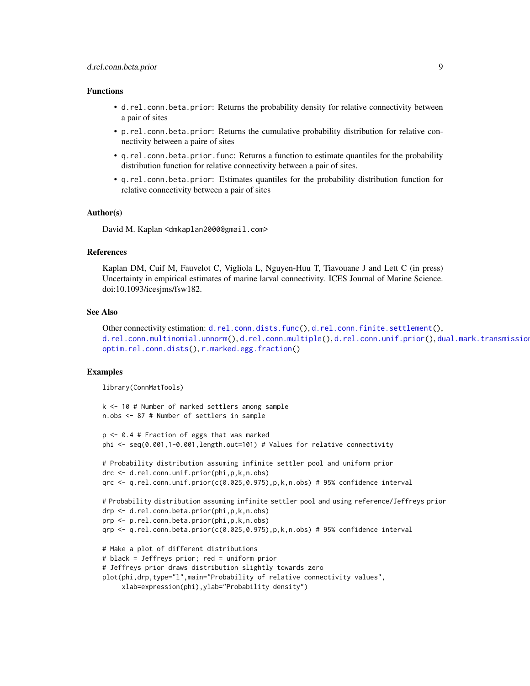# <span id="page-8-0"></span>d.rel.conn.beta.prior 9

#### Functions

- d.rel.conn.beta.prior: Returns the probability density for relative connectivity between a pair of sites
- p.rel.conn.beta.prior: Returns the cumulative probability distribution for relative connectivity between a paire of sites
- q.rel.conn.beta.prior.func: Returns a function to estimate quantiles for the probability distribution function for relative connectivity between a pair of sites.
- q.rel.conn.beta.prior: Estimates quantiles for the probability distribution function for relative connectivity between a pair of sites

### Author(s)

David M. Kaplan <dmkaplan2000@gmail.com>

#### References

Kaplan DM, Cuif M, Fauvelot C, Vigliola L, Nguyen-Huu T, Tiavouane J and Lett C (in press) Uncertainty in empirical estimates of marine larval connectivity. ICES Journal of Marine Science. doi:10.1093/icesjms/fsw182.

#### See Also

```
Other connectivity estimation: d.rel.conn.dists.func(), d.rel.conn.finite.settlement(),
d.rel.conn.multinomial.unnorm(d.rel.conn.multiple(d.rel.conn.unif.prior(), dual.mark.transmission
optim.rel.conn.dists(), r.marked.egg.fraction()
```
#### Examples

library(ConnMatTools)

```
k <- 10 # Number of marked settlers among sample
n.obs <- 87 # Number of settlers in sample
```

```
p <- 0.4 # Fraction of eggs that was marked
phi <- seq(0.001,1-0.001,length.out=101) # Values for relative connectivity
```

```
# Probability distribution assuming infinite settler pool and uniform prior
drc <- d.rel.conn.unif.prior(phi,p,k,n.obs)
qrc \leq q.rel.conn.unif.prior(c(0.025,0.975),p,k,n.obs) # 95% confidence interval
```

```
# Probability distribution assuming infinite settler pool and using reference/Jeffreys prior
drp <- d.rel.conn.beta.prior(phi,p,k,n.obs)
prp <- p.rel.conn.beta.prior(phi,p,k,n.obs)
qrp \leq q.rel.conn.beta.prior(c(0.025,0.975),p,k,n.obs) # 95% confidence interval
```

```
# Make a plot of different distributions
# black = Jeffreys prior; red = uniform prior
# Jeffreys prior draws distribution slightly towards zero
plot(phi,drp,type="l",main="Probability of relative connectivity values",
     xlab=expression(phi),ylab="Probability density")
```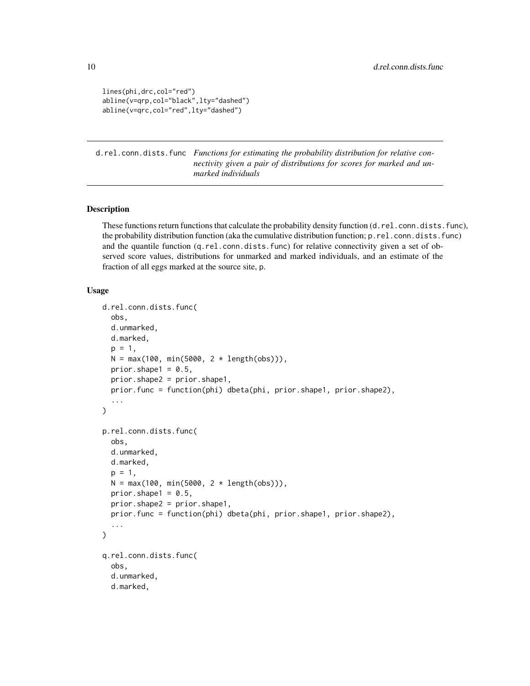```
lines(phi,drc,col="red")
abline(v=qrp,col="black",lty="dashed")
abline(v=qrc,col="red",lty="dashed")
```
<span id="page-9-1"></span>d.rel.conn.dists.func *Functions for estimating the probability distribution for relative connectivity given a pair of distributions for scores for marked and unmarked individuals*

# Description

These functions return functions that calculate the probability density function (d.rel.conn.dists.func), the probability distribution function (aka the cumulative distribution function; p.rel.conn.dists.func) and the quantile function (q.rel.conn.dists.func) for relative connectivity given a set of observed score values, distributions for unmarked and marked individuals, and an estimate of the fraction of all eggs marked at the source site, p.

# Usage

```
d.rel.conn.dists.func(
  obs,
  d.unmarked,
  d.marked,
  p = 1,
  N = max(100, min(5000, 2 * length(obs))).prior.shape1 = 0.5,
  prior.shape2 = prior.shape1,
  prior.func = function(phi) dbeta(phi, prior.shape1, prior.shape2),
  ...
\mathcal{L}p.rel.conn.dists.func(
  obs,
  d.unmarked,
  d.marked,
  p = 1,
 N = max(100, min(5000, 2 * length(obs))),
  prior.shape1 = 0.5,
  prior.shape2 = prior.shape1,
  prior.func = function(phi) dbeta(phi, prior.shape1, prior.shape2),
  ...
\mathcal{L}q.rel.conn.dists.func(
  obs,
  d.unmarked,
  d.marked,
```
<span id="page-9-0"></span>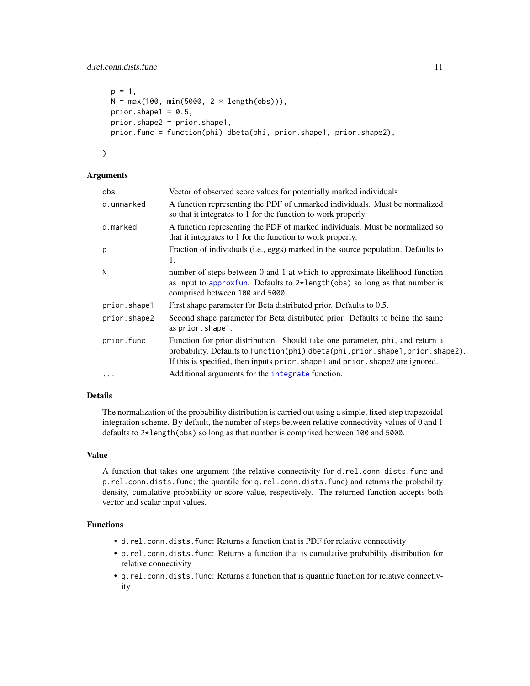```
p = 1,
 N = max(100, min(5000, 2 * length(obs))),
 prior.shape1 = 0.5,
 prior.shape2 = prior.shape1,
 prior.func = function(phi) dbeta(phi, prior.shape1, prior.shape2),
  ...
)
```
#### Arguments

| obs          | Vector of observed score values for potentially marked individuals                                                                                                                                                                                |
|--------------|---------------------------------------------------------------------------------------------------------------------------------------------------------------------------------------------------------------------------------------------------|
| d.unmarked   | A function representing the PDF of unmarked individuals. Must be normalized<br>so that it integrates to 1 for the function to work properly.                                                                                                      |
| d.marked     | A function representing the PDF of marked individuals. Must be normalized so<br>that it integrates to 1 for the function to work properly.                                                                                                        |
| p            | Fraction of individuals (i.e., eggs) marked in the source population. Defaults to<br>1.                                                                                                                                                           |
| N            | number of steps between 0 and 1 at which to approximate likelihood function<br>as input to approxfun. Defaults to $2*length(obs)$ so long as that number is<br>comprised between 100 and 5000.                                                    |
| prior.shape1 | First shape parameter for Beta distributed prior. Defaults to 0.5.                                                                                                                                                                                |
| prior.shape2 | Second shape parameter for Beta distributed prior. Defaults to being the same<br>as prior.shape1.                                                                                                                                                 |
| prior.func   | Function for prior distribution. Should take one parameter, phi, and return a<br>probability. Defaults to function(phi) dbeta(phi, prior.shape1, prior.shape2).<br>If this is specified, then inputs prior. shape1 and prior. shape2 are ignored. |
| $\ddotsc$    | Additional arguments for the integrate function.                                                                                                                                                                                                  |

# Details

The normalization of the probability distribution is carried out using a simple, fixed-step trapezoidal integration scheme. By default, the number of steps between relative connectivity values of 0 and 1 defaults to 2\*length(obs) so long as that number is comprised between 100 and 5000.

#### Value

A function that takes one argument (the relative connectivity for d.rel.conn.dists.func and p.rel.conn.dists.func; the quantile for q.rel.conn.dists.func) and returns the probability density, cumulative probability or score value, respectively. The returned function accepts both vector and scalar input values.

# Functions

- d.rel.conn.dists.func: Returns a function that is PDF for relative connectivity
- p.rel.conn.dists.func: Returns a function that is cumulative probability distribution for relative connectivity
- q.rel.conn.dists.func: Returns a function that is quantile function for relative connectivity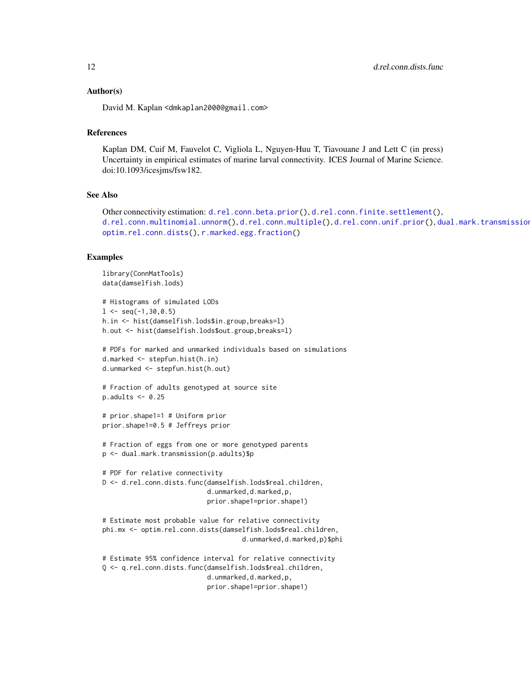#### <span id="page-11-0"></span>Author(s)

David M. Kaplan <dmkaplan2000@gmail.com>

#### References

Kaplan DM, Cuif M, Fauvelot C, Vigliola L, Nguyen-Huu T, Tiavouane J and Lett C (in press) Uncertainty in empirical estimates of marine larval connectivity. ICES Journal of Marine Science. doi:10.1093/icesjms/fsw182.

# See Also

```
d.rel.conn.beta.prior(d.rel.conn.finite.settlement(),
d.rel.conn.multinomial.unnorm(d.rel.conn.multiple(d.rel.conn.unif.prior(), dual.mark.transmission
optim.rel.conn.dists(), r.marked.egg.fraction()
```
# Examples

```
library(ConnMatTools)
data(damselfish.lods)
# Histograms of simulated LODs
1 \le - seq(-1, 30, 0.5)
h.in <- hist(damselfish.lods$in.group,breaks=l)
h.out <- hist(damselfish.lods$out.group,breaks=l)
# PDFs for marked and unmarked individuals based on simulations
d.marked <- stepfun.hist(h.in)
d.unmarked <- stepfun.hist(h.out)
# Fraction of adults genotyped at source site
p.addults < -0.25# prior.shape1=1 # Uniform prior
prior.shape1=0.5 # Jeffreys prior
# Fraction of eggs from one or more genotyped parents
p <- dual.mark.transmission(p.adults)$p
# PDF for relative connectivity
D <- d.rel.conn.dists.func(damselfish.lods$real.children,
                           d.unmarked,d.marked,p,
                           prior.shape1=prior.shape1)
# Estimate most probable value for relative connectivity
phi.mx <- optim.rel.conn.dists(damselfish.lods$real.children,
                                    d.unmarked,d.marked,p)$phi
# Estimate 95% confidence interval for relative connectivity
Q <- q.rel.conn.dists.func(damselfish.lods$real.children,
                           d.unmarked,d.marked,p,
                           prior.shape1=prior.shape1)
```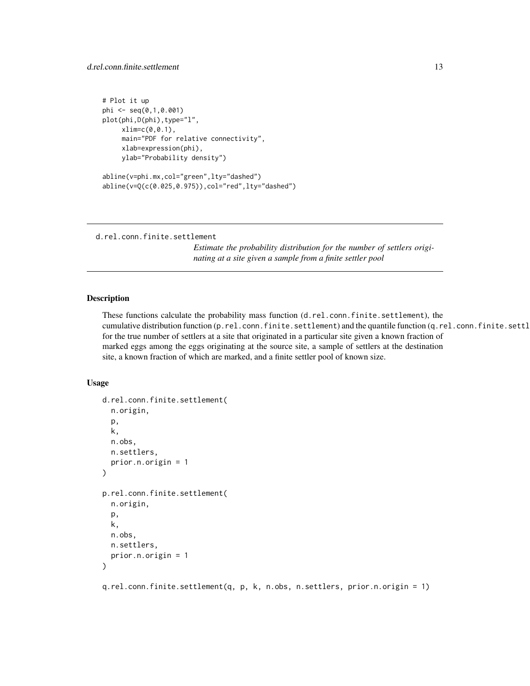# <span id="page-12-0"></span>d.rel.conn.finite.settlement 13

```
# Plot it up
phi <- seq(0,1,0.001)
plot(phi,D(phi),type="l",
    xlim=c(0,0.1),
     main="PDF for relative connectivity",
     xlab=expression(phi),
    ylab="Probability density")
abline(v=phi.mx,col="green",lty="dashed")
abline(v=Q(c(0.025,0.975)),col="red",lty="dashed")
```

```
d.rel.conn.finite.settlement
```
*Estimate the probability distribution for the number of settlers originating at a site given a sample from a finite settler pool*

### Description

These functions calculate the probability mass function (d.rel.conn.finite.settlement), the cumulative distribution function (p.rel.conn.finite.settlement) and the quantile function (q.rel.conn.finite.settl for the true number of settlers at a site that originated in a particular site given a known fraction of marked eggs among the eggs originating at the source site, a sample of settlers at the destination site, a known fraction of which are marked, and a finite settler pool of known size.

#### Usage

```
d.rel.conn.finite.settlement(
  n.origin,
  p,
  k,
  n.obs,
  n.settlers,
  prior.n.origin = 1
\lambdap.rel.conn.finite.settlement(
  n.origin,
  p,
  k,
  n.obs,
  n.settlers,
  prior.n.origin = 1
)
```
q.rel.conn.finite.settlement(q, p, k, n.obs, n.settlers, prior.n.origin = 1)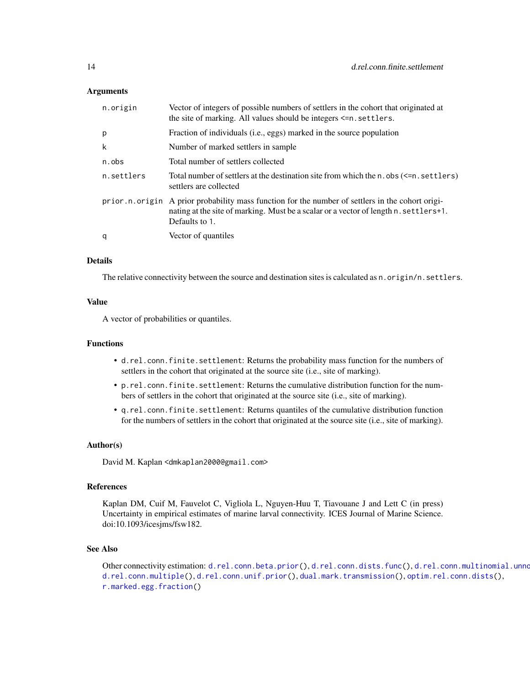#### <span id="page-13-0"></span>Arguments

| n.origin   | Vector of integers of possible numbers of settlers in the cohort that originated at<br>the site of marking. All values should be integers $\leq n$ settlers.                                               |
|------------|------------------------------------------------------------------------------------------------------------------------------------------------------------------------------------------------------------|
| p          | Fraction of individuals (i.e., eggs) marked in the source population                                                                                                                                       |
| k          | Number of marked settlers in sample.                                                                                                                                                                       |
| n.obs      | Total number of settlers collected                                                                                                                                                                         |
| n.settlers | Total number of settlers at the destination site from which the $n.$ obs $(\leq n.$ settlers)<br>settlers are collected                                                                                    |
|            | prior.n.origin A prior probability mass function for the number of settlers in the cohort origi-<br>nating at the site of marking. Must be a scalar or a vector of length n. settlers+1.<br>Defaults to 1. |
| q          | Vector of quantiles                                                                                                                                                                                        |

#### Details

The relative connectivity between the source and destination sites is calculated as n. origin/n. settlers.

#### Value

A vector of probabilities or quantiles.

# Functions

- d.rel.conn.finite.settlement: Returns the probability mass function for the numbers of settlers in the cohort that originated at the source site (i.e., site of marking).
- p.rel.conn.finite.settlement: Returns the cumulative distribution function for the numbers of settlers in the cohort that originated at the source site (i.e., site of marking).
- q.rel.conn.finite.settlement: Returns quantiles of the cumulative distribution function for the numbers of settlers in the cohort that originated at the source site (i.e., site of marking).

#### Author(s)

David M. Kaplan <dmkaplan2000@gmail.com>

#### References

Kaplan DM, Cuif M, Fauvelot C, Vigliola L, Nguyen-Huu T, Tiavouane J and Lett C (in press) Uncertainty in empirical estimates of marine larval connectivity. ICES Journal of Marine Science. doi:10.1093/icesjms/fsw182.

#### See Also

Other connectivity estimation: [d.rel.conn.beta.prior\(](#page-6-1)), [d.rel.conn.dists.func\(](#page-9-1)), d.rel.conn.multinomial.unno [d.rel.conn.multiple\(](#page-17-1)), [d.rel.conn.unif.prior\(](#page-20-1)), [dual.mark.transmission\(](#page-27-1)), [optim.rel.conn.dists\(](#page-34-1)), [r.marked.egg.fraction\(](#page-41-1))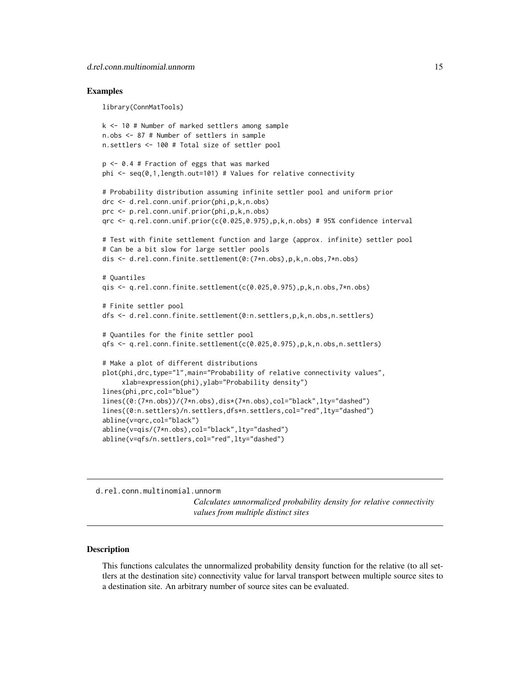#### <span id="page-14-0"></span>Examples

library(ConnMatTools)

```
k <- 10 # Number of marked settlers among sample
n.obs <- 87 # Number of settlers in sample
n.settlers <- 100 # Total size of settler pool
p <- 0.4 # Fraction of eggs that was marked
phi \leq seq(0,1, length.out=101) # Values for relative connectivity
# Probability distribution assuming infinite settler pool and uniform prior
drc <- d.rel.conn.unif.prior(phi,p,k,n.obs)
prc <- p.rel.conn.unif.prior(phi,p,k,n.obs)
qrc <- q.rel.conn.unif.prior(c(0.025,0.975),p,k,n.obs) # 95% confidence interval
# Test with finite settlement function and large (approx. infinite) settler pool
# Can be a bit slow for large settler pools
dis <- d.rel.conn.finite.settlement(0:(7*n.obs),p,k,n.obs,7*n.obs)
# Quantiles
qis <- q.rel.conn.finite.settlement(c(0.025,0.975),p,k,n.obs,7*n.obs)
# Finite settler pool
dfs <- d.rel.conn.finite.settlement(0:n.settlers,p,k,n.obs,n.settlers)
# Quantiles for the finite settler pool
qfs <- q.rel.conn.finite.settlement(c(0.025,0.975),p,k,n.obs,n.settlers)
# Make a plot of different distributions
plot(phi,drc,type="l",main="Probability of relative connectivity values",
     xlab=expression(phi),ylab="Probability density")
lines(phi,prc,col="blue")
lines((0:(7*n.obs))/(7*n.obs),dis*(7*n.obs),col="black",lty="dashed")
lines((0:n.settlers)/n.settlers,dfs*n.settlers,col="red",lty="dashed")
abline(v=qrc,col="black")
abline(v=qis/(7*n.obs),col="black",lty="dashed")
abline(v=qfs/n.settlers,col="red",lty="dashed")
```
<span id="page-14-1"></span>d.rel.conn.multinomial.unnorm

*Calculates unnormalized probability density for relative connectivity values from multiple distinct sites*

#### **Description**

This functions calculates the unnormalized probability density function for the relative (to all settlers at the destination site) connectivity value for larval transport between multiple source sites to a destination site. An arbitrary number of source sites can be evaluated.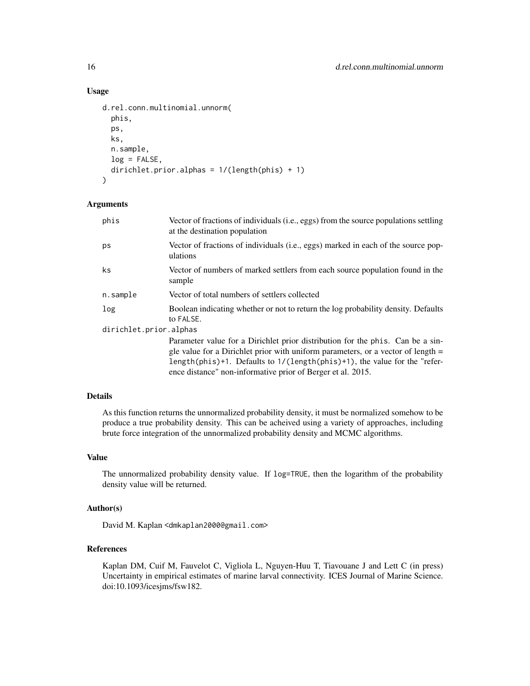# Usage

```
d.rel.conn.multinomial.unnorm(
  phis,
  ps,
  ks,
  n.sample,
  log = FALSE,
  dirichlet.prior.alphas = 1/(length(phis) + 1)
)
```
# Arguments

| phis                   | Vector of fractions of individuals (i.e., eggs) from the source populations settling<br>at the destination population                                                                                                                                                                                                      |
|------------------------|----------------------------------------------------------------------------------------------------------------------------------------------------------------------------------------------------------------------------------------------------------------------------------------------------------------------------|
| ps                     | Vector of fractions of individuals (i.e., eggs) marked in each of the source pop-<br>ulations                                                                                                                                                                                                                              |
| ks                     | Vector of numbers of marked settlers from each source population found in the<br>sample                                                                                                                                                                                                                                    |
| n.sample               | Vector of total numbers of settlers collected                                                                                                                                                                                                                                                                              |
| log                    | Boolean indicating whether or not to return the log probability density. Defaults<br>to FALSE.                                                                                                                                                                                                                             |
| dirichlet.prior.alphas |                                                                                                                                                                                                                                                                                                                            |
|                        | Parameter value for a Dirichlet prior distribution for the phis. Can be a sin-<br>gle value for a Dirichlet prior with uniform parameters, or a vector of length $=$<br>length(phis)+1. Defaults to $1/(\text{length}(phis)+1)$ , the value for the "refer-<br>ence distance" non-informative prior of Berger et al. 2015. |

# Details

As this function returns the unnormalized probability density, it must be normalized somehow to be produce a true probability density. This can be acheived using a variety of approaches, including brute force integration of the unnormalized probability density and MCMC algorithms.

# Value

The unnormalized probability density value. If log=TRUE, then the logarithm of the probability density value will be returned.

#### Author(s)

David M. Kaplan <dmkaplan2000@gmail.com>

# References

Kaplan DM, Cuif M, Fauvelot C, Vigliola L, Nguyen-Huu T, Tiavouane J and Lett C (in press) Uncertainty in empirical estimates of marine larval connectivity. ICES Journal of Marine Science. doi:10.1093/icesjms/fsw182.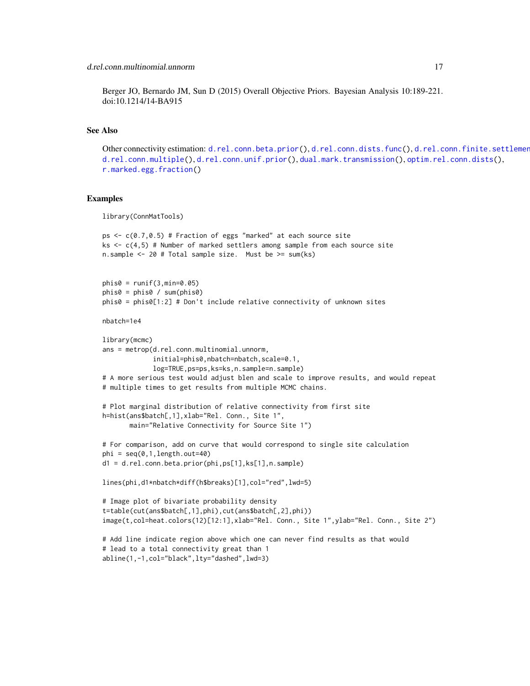# <span id="page-16-0"></span>d.rel.conn.multinomial.unnorm 17

Berger JO, Bernardo JM, Sun D (2015) Overall Objective Priors. Bayesian Analysis 10:189-221. doi:10.1214/14-BA915

#### See Also

Other connectivity estimation: [d.rel.conn.beta.prior\(](#page-6-1)), [d.rel.conn.dists.func\(](#page-9-1)), d.rel.conn.finite.settlement [d.rel.conn.multiple\(](#page-17-1)), [d.rel.conn.unif.prior\(](#page-20-1)), [dual.mark.transmission\(](#page-27-1)), [optim.rel.conn.dists\(](#page-34-1)), [r.marked.egg.fraction\(](#page-41-1))

#### Examples

library(ConnMatTools)

```
ps \leq c(0.7, 0.5) # Fraction of eggs "marked" at each source site
ks \leq c(4,5) # Number of marked settlers among sample from each source site
n.sample <- 20 # Total sample size. Must be >= sum(ks)
phis0 = runif(3, min=0.05)phis0 = phis0 / sum(phys0)phis0 = phiso[1:2] # Don't include relative connectivity of unknown sites
nbatch=1e4
library(mcmc)
ans = metrop(d.rel.conn.multinomial.unnorm,
             initial=phis0,nbatch=nbatch,scale=0.1,
             log=TRUE,ps=ps,ks=ks,n.sample=n.sample)
# A more serious test would adjust blen and scale to improve results, and would repeat
# multiple times to get results from multiple MCMC chains.
# Plot marginal distribution of relative connectivity from first site
h=hist(ans$batch[,1],xlab="Rel. Conn., Site 1",
       main="Relative Connectivity for Source Site 1")
# For comparison, add on curve that would correspond to single site calculation
phi = seq(0, 1, length.out=40)d1 = d.rel.conn.beta.prior(phi,ps[1],ks[1],n.sample)
lines(phi,d1*nbatch*diff(h$breaks)[1],col="red",lwd=5)
# Image plot of bivariate probability density
t=table(cut(ans$batch[,1],phi),cut(ans$batch[,2],phi))
image(t,col=heat.colors(12)[12:1],xlab="Rel. Conn., Site 1",ylab="Rel. Conn., Site 2")
# Add line indicate region above which one can never find results as that would
# lead to a total connectivity great than 1
abline(1,-1,col="black",lty="dashed",lwd=3)
```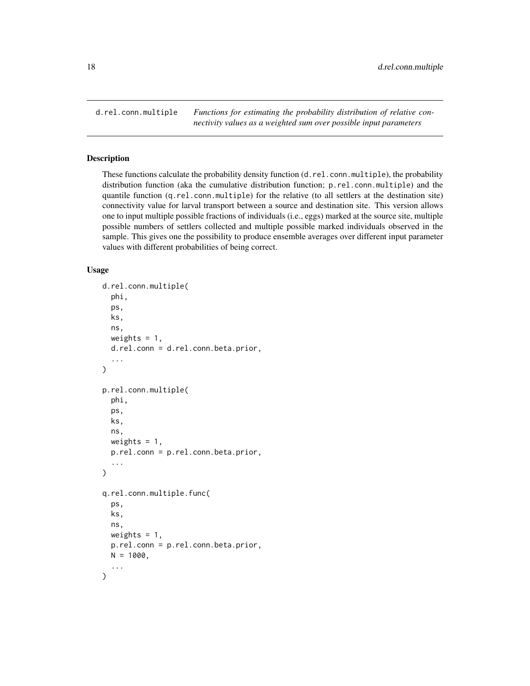<span id="page-17-1"></span><span id="page-17-0"></span>d.rel.conn.multiple *Functions for estimating the probability distribution of relative connectivity values as a weighted sum over possible input parameters*

# <span id="page-17-2"></span>Description

These functions calculate the probability density function (d.rel.conn.multiple), the probability distribution function (aka the cumulative distribution function; p.rel.conn.multiple) and the quantile function (q.rel.conn.multiple) for the relative (to all settlers at the destination site) connectivity value for larval transport between a source and destination site. This version allows one to input multiple possible fractions of individuals (i.e., eggs) marked at the source site, multiple possible numbers of settlers collected and multiple possible marked individuals observed in the sample. This gives one the possibility to produce ensemble averages over different input parameter values with different probabilities of being correct.

#### Usage

```
d.rel.conn.multiple(
  phi,
  ps,
  ks,
  ns,
  weights = 1,
  d.rel.conn = d.rel.conn.beta.prior,
  ...
)
p.rel.conn.multiple(
  phi,
  ps,
  ks,
  ns,
  weights = 1,
  p.rel.conn = p.rel.conn.beta.prior,
  ...
)
q.rel.conn.multiple.func(
  ps,
  ks,
  ns,
  weights = 1,
  p.rel.conn = p.rel.conn.beta.prior,
  N = 1000.
  ...
)
```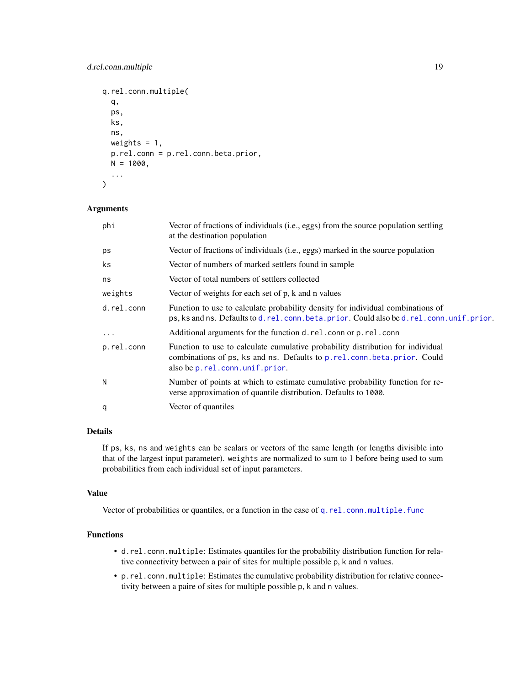# <span id="page-18-0"></span>d.rel.conn.multiple 19

```
q.rel.conn.multiple(
 q,
 ps,
 ks,
 ns,
 weights = 1,
 p.rel.conn = p.rel.conn.beta.prior,
 N = 1000,
  ...
)
```
# Arguments

| phi        | Vector of fractions of individuals (i.e., eggs) from the source population settling<br>at the destination population                                                                          |
|------------|-----------------------------------------------------------------------------------------------------------------------------------------------------------------------------------------------|
| ps         | Vector of fractions of individuals (i.e., eggs) marked in the source population                                                                                                               |
| ks         | Vector of numbers of marked settlers found in sample                                                                                                                                          |
| ns         | Vector of total numbers of settlers collected                                                                                                                                                 |
| weights    | Vector of weights for each set of p, k and n values                                                                                                                                           |
| d.rel.conn | Function to use to calculate probability density for individual combinations of<br>ps, ks and ns. Defaults to d. rel. conn. beta. prior. Could also be d. rel. conn. unif. prior.             |
| $\cdots$   | Additional arguments for the function d. rel. conn or p. rel. conn                                                                                                                            |
| p.rel.conn | Function to use to calculate cumulative probability distribution for individual<br>combinations of ps, ks and ns. Defaults to p.rel.conn.beta.prior. Could<br>also be p. rel.conn.unif.prior. |
| N          | Number of points at which to estimate cumulative probability function for re-<br>verse approximation of quantile distribution. Defaults to 1000.                                              |
| q          | Vector of quantiles                                                                                                                                                                           |

# Details

If ps, ks, ns and weights can be scalars or vectors of the same length (or lengths divisible into that of the largest input parameter). weights are normalized to sum to 1 before being used to sum probabilities from each individual set of input parameters.

#### Value

Vector of probabilities or quantiles, or a function in the case of [q.rel.conn.multiple.func](#page-17-2)

# Functions

- d.rel.conn.multiple: Estimates quantiles for the probability distribution function for relative connectivity between a pair of sites for multiple possible p, k and n values.
- p.rel.conn.multiple: Estimates the cumulative probability distribution for relative connectivity between a paire of sites for multiple possible p, k and n values.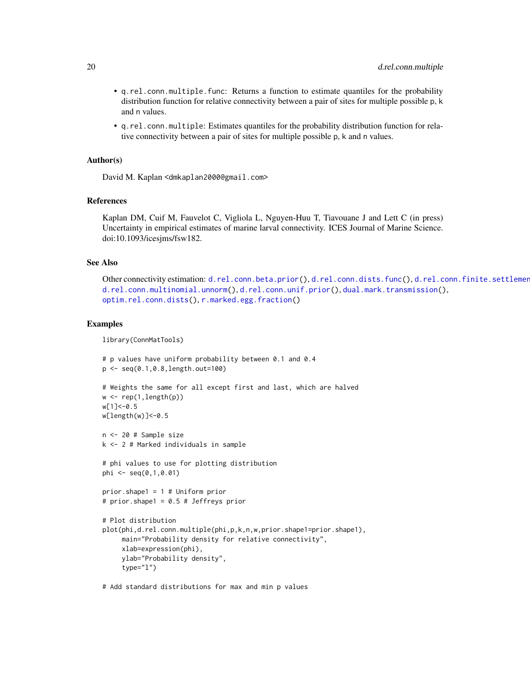- <span id="page-19-0"></span>• q.rel.conn.multiple.func: Returns a function to estimate quantiles for the probability distribution function for relative connectivity between a pair of sites for multiple possible p, k and n values.
- q.rel.conn.multiple: Estimates quantiles for the probability distribution function for relative connectivity between a pair of sites for multiple possible p, k and n values.

#### Author(s)

David M. Kaplan <dmkaplan2000@gmail.com>

#### References

Kaplan DM, Cuif M, Fauvelot C, Vigliola L, Nguyen-Huu T, Tiavouane J and Lett C (in press) Uncertainty in empirical estimates of marine larval connectivity. ICES Journal of Marine Science. doi:10.1093/icesjms/fsw182.

# See Also

```
d.rel.conn.beta.prior(d.rel.conn.dists.func(), d.rel.conn.finite.settlement
d.rel.conn.multinomial.unnorm(), d.rel.conn.unif.prior(), dual.mark.transmission(),
optim.rel.conn.dists(), r.marked.egg.fraction()
```
#### Examples

library(ConnMatTools)

```
# p values have uniform probability between 0.1 and 0.4
p <- seq(0.1,0.8,length.out=100)
# Weights the same for all except first and last, which are halved
w \leq rep(1, length(p))w[1]<-0.5
w[length(w)]<-0.5
n <- 20 # Sample size
k <- 2 # Marked individuals in sample
# phi values to use for plotting distribution
phi \leq - seq(0,1,0.01)
prior.shape1 = 1 # Uniform prior
# prior.shape1 = 0.5 # Jeffreys prior
# Plot distribution
plot(phi,d.rel.conn.multiple(phi,p,k,n,w,prior.shape1=prior.shape1),
     main="Probability density for relative connectivity",
     xlab=expression(phi),
     ylab="Probability density",
     type="l")
```
# Add standard distributions for max and min p values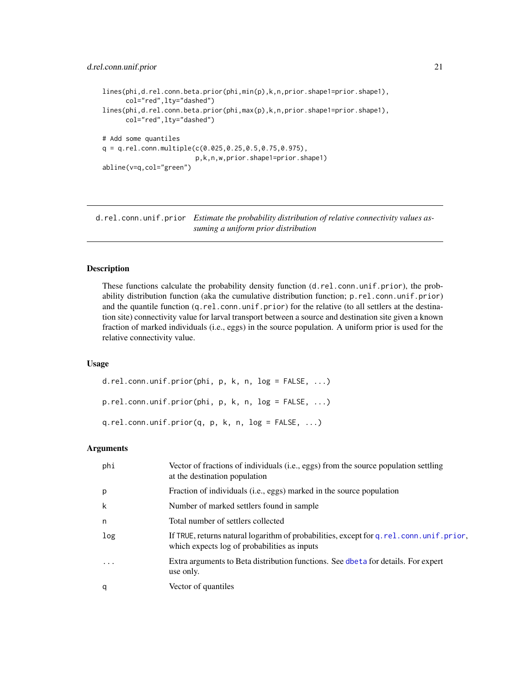```
lines(phi,d.rel.conn.beta.prior(phi,min(p),k,n,prior.shape1=prior.shape1),
      col="red",lty="dashed")
lines(phi,d.rel.conn.beta.prior(phi,max(p),k,n,prior.shape1=prior.shape1),
     col="red",lty="dashed")
# Add some quantiles
q = q.rel.conn.multiple(c(0.025,0.25,0.5,0.75,0.975),
                        p,k,n,w,prior.shape1=prior.shape1)
abline(v=q,col="green")
```
<span id="page-20-1"></span>d.rel.conn.unif.prior *Estimate the probability distribution of relative connectivity values assuming a uniform prior distribution*

#### <span id="page-20-2"></span>Description

These functions calculate the probability density function (d.rel.conn.unif.prior), the probability distribution function (aka the cumulative distribution function; p.rel.conn.unif.prior) and the quantile function (q.rel.conn.unif.prior) for the relative (to all settlers at the destination site) connectivity value for larval transport between a source and destination site given a known fraction of marked individuals (i.e., eggs) in the source population. A uniform prior is used for the relative connectivity value.

#### Usage

```
d.rel.conn.unif.prior(phi, p, k, n, log = FALSE, ...)
p.rel.conn.unif.prior(phi, p, k, n, log = FALSE, ...)
q.rel.conn.unif.prior(q, p, k, n, log = FALSE, ...)
```
# **Arguments**

| phi      | Vector of fractions of individuals (i.e., eggs) from the source population settling<br>at the destination population                       |
|----------|--------------------------------------------------------------------------------------------------------------------------------------------|
| p        | Fraction of individuals (i.e., eggs) marked in the source population                                                                       |
| k        | Number of marked settlers found in sample                                                                                                  |
| n        | Total number of settlers collected                                                                                                         |
| log      | If TRUE, returns natural logarithm of probabilities, except for q. rel. conn. unif. prior,<br>which expects log of probabilities as inputs |
| $\ddots$ | Extra arguments to Beta distribution functions. See dbeta for details. For expert<br>use only.                                             |
| q        | Vector of quantiles                                                                                                                        |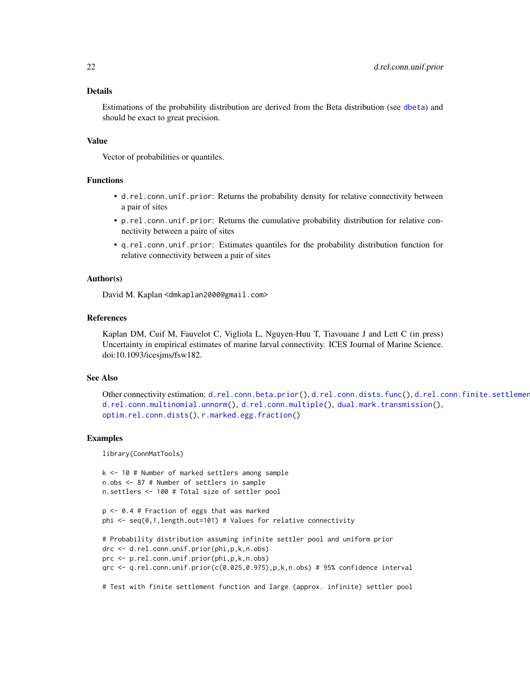#### <span id="page-21-0"></span>Details

Estimations of the probability distribution are derived from the Beta distribution (see [dbeta](#page-0-0)) and should be exact to great precision.

#### Value

Vector of probabilities or quantiles.

### Functions

- d.rel.conn.unif.prior: Returns the probability density for relative connectivity between a pair of sites
- p.rel.conn.unif.prior: Returns the cumulative probability distribution for relative connectivity between a paire of sites
- q.rel.conn.unif.prior: Estimates quantiles for the probability distribution function for relative connectivity between a pair of sites

#### Author(s)

David M. Kaplan <dmkaplan2000@gmail.com>

#### References

Kaplan DM, Cuif M, Fauvelot C, Vigliola L, Nguyen-Huu T, Tiavouane J and Lett C (in press) Uncertainty in empirical estimates of marine larval connectivity. ICES Journal of Marine Science. doi:10.1093/icesjms/fsw182.

#### See Also

```
d.rel.conn.beta.prior(d.rel.conn.dists.func(), d.rel.conn.finite.settlement
d.rel.conn.multinomial.unnorm(), d.rel.conn.multiple(), dual.mark.transmission(),
optim.rel.conn.dists(), r.marked.egg.fraction()
```
#### Examples

library(ConnMatTools)

```
k <- 10 # Number of marked settlers among sample
n.obs <- 87 # Number of settlers in sample
n.settlers <- 100 # Total size of settler pool
```

```
p <- 0.4 # Fraction of eggs that was marked
phi <- seq(0,1,length.out=101) # Values for relative connectivity
```

```
# Probability distribution assuming infinite settler pool and uniform prior
drc <- d.rel.conn.unif.prior(phi,p,k,n.obs)
prc <- p.rel.conn.unif.prior(phi,p,k,n.obs)
qrc <- q.rel.conn.unif.prior(c(0.025,0.975),p,k,n.obs) # 95% confidence interval
```
# Test with finite settlement function and large (approx. infinite) settler pool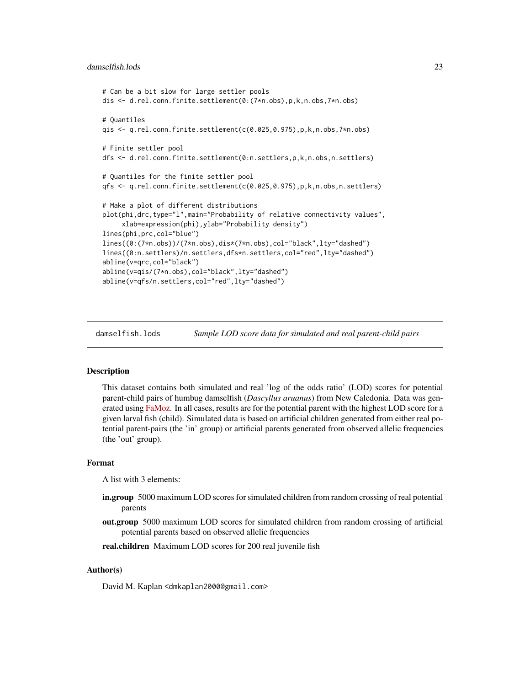```
# Can be a bit slow for large settler pools
dis <- d.rel.conn.finite.settlement(0:(7*n.obs),p,k,n.obs,7*n.obs)
# Quantiles
qis <- q.rel.conn.finite.settlement(c(0.025,0.975),p,k,n.obs,7*n.obs)
# Finite settler pool
dfs <- d.rel.conn.finite.settlement(0:n.settlers,p,k,n.obs,n.settlers)
# Quantiles for the finite settler pool
qfs <- q.rel.conn.finite.settlement(c(0.025,0.975),p,k,n.obs,n.settlers)
# Make a plot of different distributions
plot(phi,drc,type="l",main="Probability of relative connectivity values",
     xlab=expression(phi),ylab="Probability density")
lines(phi,prc,col="blue")
lines((0:(7*n.obs))/(7*n.obs),dis*(7*n.obs),col="black",lty="dashed")
lines((0:n.settlers)/n.settlers,dfs*n.settlers,col="red",lty="dashed")
abline(v=qrc,col="black")
abline(v=qis/(7*n.obs),col="black",lty="dashed")
abline(v=qfs/n.settlers,col="red",lty="dashed")
```
damselfish.lods *Sample LOD score data for simulated and real parent-child pairs*

# Description

This dataset contains both simulated and real 'log of the odds ratio' (LOD) scores for potential parent-child pairs of humbug damselfish (*Dascyllus aruanus*) from New Caledonia. Data was gen-erated using [FaMoz.](http://www.pierroton.inra.fr/genetics/labo/Software/Famoz/index.html) In all cases, results are for the potential parent with the highest LOD score for a given larval fish (child). Simulated data is based on artificial children generated from either real potential parent-pairs (the 'in' group) or artificial parents generated from observed allelic frequencies (the 'out' group).

# Format

A list with 3 elements:

- in.group 5000 maximum LOD scores for simulated children from random crossing of real potential parents
- out.group 5000 maximum LOD scores for simulated children from random crossing of artificial potential parents based on observed allelic frequencies
- real.children Maximum LOD scores for 200 real juvenile fish

# Author(s)

David M. Kaplan <dmkaplan2000@gmail.com>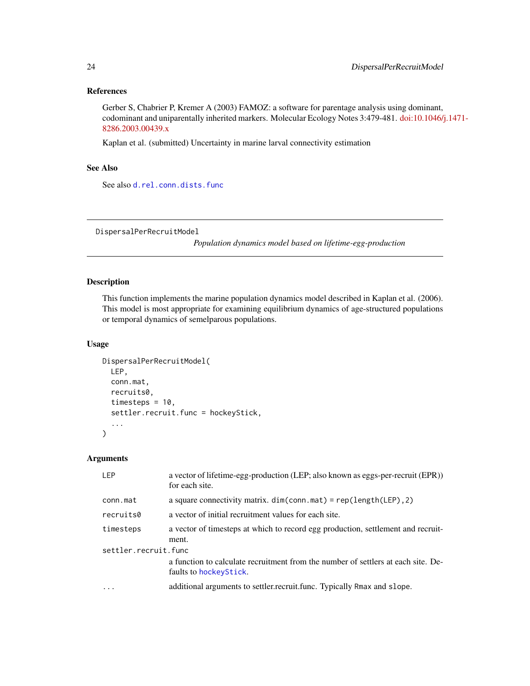# References

Gerber S, Chabrier P, Kremer A (2003) FAMOZ: a software for parentage analysis using dominant, codominant and uniparentally inherited markers. Molecular Ecology Notes 3:479-481. [doi:10.1046/j](http://dx.doi.org/10.1046/j.1471-8286.2003.00439.x).1471- [8286.2003.00439.x](http://dx.doi.org/10.1046/j.1471-8286.2003.00439.x)

Kaplan et al. (submitted) Uncertainty in marine larval connectivity estimation

# See Also

See also [d.rel.conn.dists.func](#page-9-1)

<span id="page-23-1"></span>DispersalPerRecruitModel

*Population dynamics model based on lifetime-egg-production*

# Description

This function implements the marine population dynamics model described in Kaplan et al. (2006). This model is most appropriate for examining equilibrium dynamics of age-structured populations or temporal dynamics of semelparous populations.

# Usage

```
DispersalPerRecruitModel(
 LEP,
 conn.mat,
 recruits0,
  timesteps = 10,
  settler.recruit.func = hockeyStick,
  ...
)
```
# Arguments

| a vector of lifetime-egg-production (LEP; also known as eggs-per-recruit (EPR))<br>for each site.            |  |  |
|--------------------------------------------------------------------------------------------------------------|--|--|
| a square connectivity matrix. $dim(conn.mat) = rep(length(LEP), 2)$                                          |  |  |
| a vector of initial recruitment values for each site.                                                        |  |  |
| a vector of timesteps at which to record egg production, settlement and recruit-                             |  |  |
| ment.                                                                                                        |  |  |
| settler.recruit.func                                                                                         |  |  |
| a function to calculate recruitment from the number of settlers at each site. De-<br>faults to hockey Stick. |  |  |
| additional arguments to settler.recruit.func. Typically Rmax and slope.                                      |  |  |
|                                                                                                              |  |  |

<span id="page-23-0"></span>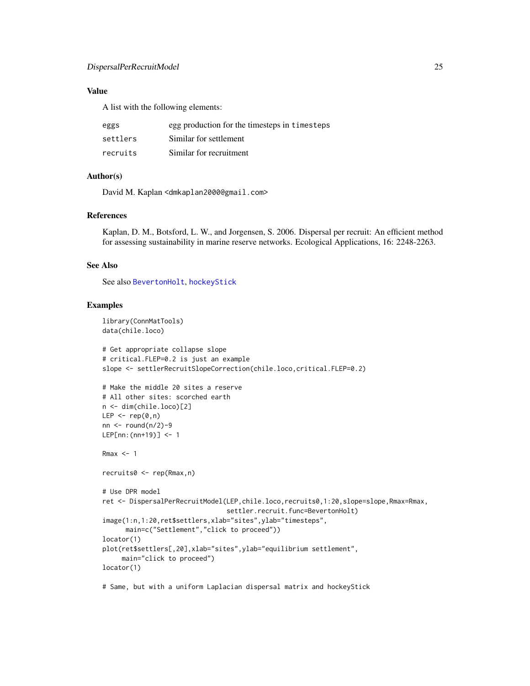# <span id="page-24-0"></span>DispersalPerRecruitModel 25

# Value

A list with the following elements:

| eggs     | egg production for the timesteps in timesteps |
|----------|-----------------------------------------------|
| settlers | Similar for settlement                        |
| recruits | Similar for recruitment                       |

# Author(s)

David M. Kaplan <dmkaplan2000@gmail.com>

# References

Kaplan, D. M., Botsford, L. W., and Jorgensen, S. 2006. Dispersal per recruit: An efficient method for assessing sustainability in marine reserve networks. Ecological Applications, 16: 2248-2263.

#### See Also

See also [BevertonHolt](#page-2-1), [hockeyStick](#page-31-1)

# Examples

```
library(ConnMatTools)
data(chile.loco)
```

```
# Get appropriate collapse slope
# critical.FLEP=0.2 is just an example
slope <- settlerRecruitSlopeCorrection(chile.loco,critical.FLEP=0.2)
# Make the middle 20 sites a reserve
# All other sites: scorched earth
n <- dim(chile.loco)[2]
LEP \leq rep(0,n)
nn \le round(n/2)-9
LEP[nn:(nn+19)] <- 1
Rmax < -1recruits0 <- rep(Rmax,n)
# Use DPR model
ret <- DispersalPerRecruitModel(LEP,chile.loco,recruits0,1:20,slope=slope,Rmax=Rmax,
                                settler.recruit.func=BevertonHolt)
image(1:n,1:20,ret$settlers,xlab="sites",ylab="timesteps",
      main=c("Settlement","click to proceed"))
locator(1)
plot(ret$settlers[,20],xlab="sites",ylab="equilibrium settlement",
     main="click to proceed")
locator(1)
```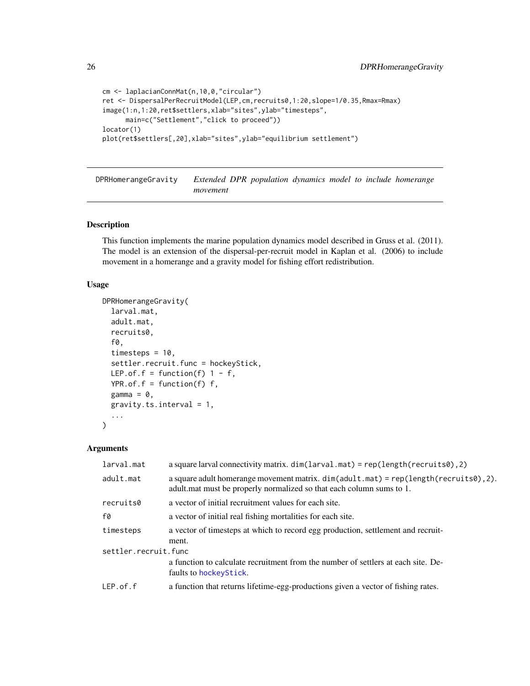```
cm <- laplacianConnMat(n,10,0,"circular")
ret <- DispersalPerRecruitModel(LEP,cm,recruits0,1:20,slope=1/0.35,Rmax=Rmax)
image(1:n,1:20,ret$settlers,xlab="sites",ylab="timesteps",
     main=c("Settlement","click to proceed"))
locator(1)
plot(ret$settlers[,20],xlab="sites",ylab="equilibrium settlement")
```
DPRHomerangeGravity *Extended DPR population dynamics model to include homerange movement*

# Description

This function implements the marine population dynamics model described in Gruss et al. (2011). The model is an extension of the dispersal-per-recruit model in Kaplan et al. (2006) to include movement in a homerange and a gravity model for fishing effort redistribution.

# Usage

```
DPRHomerangeGravity(
  larval.mat,
  adult.mat,
  recruits0,
  f0,
  timesteps = 10,
  settler.recruit.func = hockeyStick,
 LEP.of.f = function(f) 1 - f,
 YPR.of.f = function(f) f,
 gamma = 0,
 gravity.ts.interval = 1,
  ...
\lambda
```
#### **Arguments**

| larval.mat           | a square larval connectivity matrix. $dim(larval.mat) = rep(length(recruits0), 2)$                                                                                |
|----------------------|-------------------------------------------------------------------------------------------------------------------------------------------------------------------|
| adult.mat            | a square adult homerange movement matrix. $dim(adult.math) = rep(length(recruits0), 2)$ .<br>adult.mat must be properly normalized so that each column sums to 1. |
| recruits0            | a vector of initial recruitment values for each site.                                                                                                             |
| f0                   | a vector of initial real fishing mortalities for each site.                                                                                                       |
| timesteps            | a vector of timesteps at which to record egg production, settlement and recruit-<br>ment.                                                                         |
| settler.recruit.func |                                                                                                                                                                   |
|                      | a function to calculate recruitment from the number of settlers at each site. De-<br>faults to hockeyStick.                                                       |
| $LEP.$ of.f          | a function that returns lifetime-egg-productions given a vector of fishing rates.                                                                                 |

<span id="page-25-0"></span>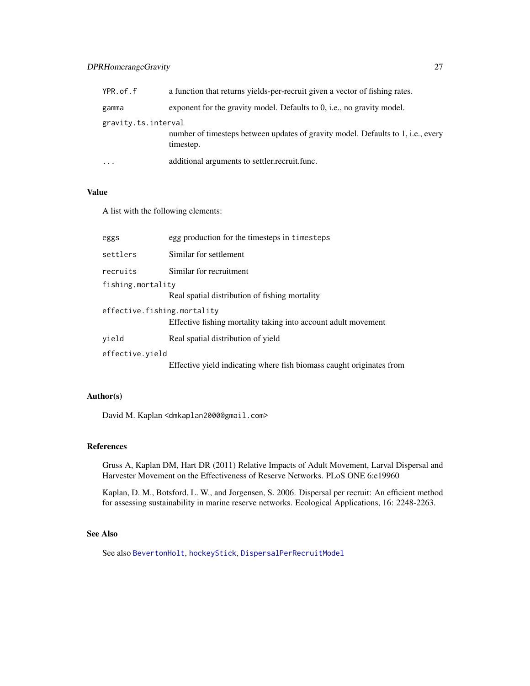# <span id="page-26-0"></span>DPRHomerangeGravity 27

| YPR.of.f            | a function that returns yields-per-recruit given a vector of fishing rates.                   |
|---------------------|-----------------------------------------------------------------------------------------------|
| gamma               | exponent for the gravity model. Defaults to 0, i.e., no gravity model.                        |
| gravity.ts.interval |                                                                                               |
|                     | number of timesteps between updates of gravity model. Defaults to 1, i.e., every<br>timestep. |
| $\cdot\cdot\cdot$   | additional arguments to settler.recruit.func.                                                 |

# Value

A list with the following elements:

| eggs                        | egg production for the timesteps in timesteps                        |
|-----------------------------|----------------------------------------------------------------------|
| settlers                    | Similar for settlement                                               |
| recruits                    | Similar for recruitment                                              |
| fishing.mortality           |                                                                      |
|                             | Real spatial distribution of fishing mortality                       |
| effective.fishing.mortality | Effective fishing mortality taking into account adult movement       |
| yield                       | Real spatial distribution of yield                                   |
| effective.yield             |                                                                      |
|                             | Effective yield indicating where fish biomass caught originates from |
|                             |                                                                      |

# Author(s)

David M. Kaplan <dmkaplan2000@gmail.com>

# References

Gruss A, Kaplan DM, Hart DR (2011) Relative Impacts of Adult Movement, Larval Dispersal and Harvester Movement on the Effectiveness of Reserve Networks. PLoS ONE 6:e19960

Kaplan, D. M., Botsford, L. W., and Jorgensen, S. 2006. Dispersal per recruit: An efficient method for assessing sustainability in marine reserve networks. Ecological Applications, 16: 2248-2263.

# See Also

See also [BevertonHolt](#page-2-1), [hockeyStick](#page-31-1), [DispersalPerRecruitModel](#page-23-1)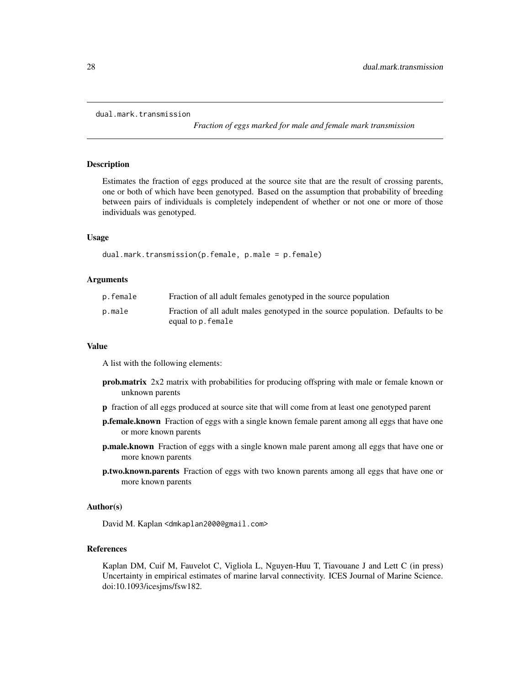```
dual.mark.transmission
```
*Fraction of eggs marked for male and female mark transmission*

#### **Description**

Estimates the fraction of eggs produced at the source site that are the result of crossing parents, one or both of which have been genotyped. Based on the assumption that probability of breeding between pairs of individuals is completely independent of whether or not one or more of those individuals was genotyped.

#### Usage

```
dual.mark.transmission(p.female, p.male = p.female)
```
#### Arguments

| p.female | Fraction of all adult females genotyped in the source population                                     |  |
|----------|------------------------------------------------------------------------------------------------------|--|
| p.male   | Fraction of all adult males genotyped in the source population. Defaults to be<br>equal to p. female |  |

#### Value

A list with the following elements:

- prob.matrix 2x2 matrix with probabilities for producing offspring with male or female known or unknown parents
- p fraction of all eggs produced at source site that will come from at least one genotyped parent
- p.female.known Fraction of eggs with a single known female parent among all eggs that have one or more known parents
- **p.male.known** Fraction of eggs with a single known male parent among all eggs that have one or more known parents
- p.two.known.parents Fraction of eggs with two known parents among all eggs that have one or more known parents

#### Author(s)

David M. Kaplan <dmkaplan2000@gmail.com>

#### References

Kaplan DM, Cuif M, Fauvelot C, Vigliola L, Nguyen-Huu T, Tiavouane J and Lett C (in press) Uncertainty in empirical estimates of marine larval connectivity. ICES Journal of Marine Science. doi:10.1093/icesjms/fsw182.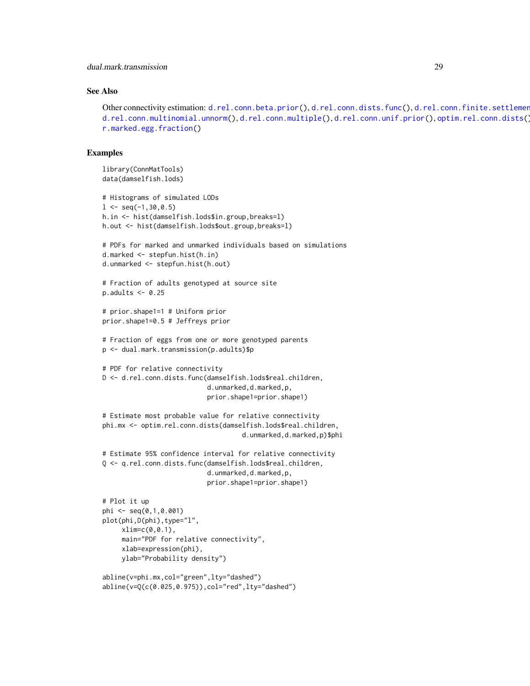# <span id="page-28-0"></span>See Also

```
d.rel.conn.beta.prior(d.rel.conn.dists.func(), d.rel.conn.finite.settlement
d.rel.conn.multinomial.unnorm(d.rel.conn.multiple(d.rel.conn.unif.prior(optim.rel.conn.dists()
r.marked.egg.fraction()
```
#### Examples

```
library(ConnMatTools)
data(damselfish.lods)
# Histograms of simulated LODs
1 \leq seq(-1,30,0.5)
h.in <- hist(damselfish.lods$in.group,breaks=l)
h.out <- hist(damselfish.lods$out.group,breaks=l)
# PDFs for marked and unmarked individuals based on simulations
d.marked <- stepfun.hist(h.in)
d.unmarked <- stepfun.hist(h.out)
# Fraction of adults genotyped at source site
p.addults < -0.25# prior.shape1=1 # Uniform prior
prior.shape1=0.5 # Jeffreys prior
# Fraction of eggs from one or more genotyped parents
p <- dual.mark.transmission(p.adults)$p
# PDF for relative connectivity
D <- d.rel.conn.dists.func(damselfish.lods$real.children,
                           d.unmarked,d.marked,p,
                           prior.shape1=prior.shape1)
# Estimate most probable value for relative connectivity
phi.mx <- optim.rel.conn.dists(damselfish.lods$real.children,
                                    d.unmarked,d.marked,p)$phi
# Estimate 95% confidence interval for relative connectivity
Q <- q.rel.conn.dists.func(damselfish.lods$real.children,
                           d.unmarked,d.marked,p,
                           prior.shape1=prior.shape1)
# Plot it up
phi <- seq(0,1,0.001)
plot(phi,D(phi),type="l",
     xlim=c(0,0.1),
     main="PDF for relative connectivity",
     xlab=expression(phi),
     ylab="Probability density")
abline(v=phi.mx,col="green",lty="dashed")
abline(v=Q(c(0.025,0.975)),col="red",lty="dashed")
```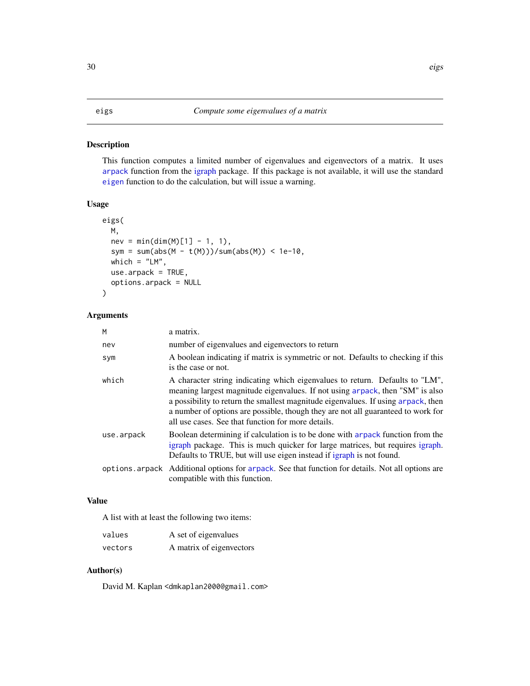#### <span id="page-29-1"></span><span id="page-29-0"></span>Description

This function computes a limited number of eigenvalues and eigenvectors of a matrix. It uses [arpack](#page-0-0) function from the [igraph](#page-0-0) package. If this package is not available, it will use the standard [eigen](#page-0-0) function to do the calculation, but will issue a warning.

# Usage

```
eigs(
 M,
 nev = min(dim(M)[1] - 1, 1),sym = sum(abs(M - t(M)))/sum(abs(M)) < 1e-10,
 which = "LM",use.arpack = TRUE,
 options.arpack = NULL
)
```
#### Arguments

| M          | a matrix.                                                                                                                                                                                                                                                                                                                                                                                    |
|------------|----------------------------------------------------------------------------------------------------------------------------------------------------------------------------------------------------------------------------------------------------------------------------------------------------------------------------------------------------------------------------------------------|
| nev        | number of eigenvalues and eigenvectors to return                                                                                                                                                                                                                                                                                                                                             |
| sym        | A boolean indicating if matrix is symmetric or not. Defaults to checking if this<br>is the case or not.                                                                                                                                                                                                                                                                                      |
| which      | A character string indicating which eigenvalues to return. Defaults to "LM",<br>meaning largest magnitude eigenvalues. If not using arpack, then "SM" is also<br>a possibility to return the smallest magnitude eigenvalues. If using arpack, then<br>a number of options are possible, though they are not all guaranteed to work for<br>all use cases. See that function for more details. |
| use.arpack | Boolean determining if calculation is to be done with arpack function from the<br>igraph package. This is much quicker for large matrices, but requires igraph.<br>Defaults to TRUE, but will use eigen instead if igraph is not found.                                                                                                                                                      |
|            | options are a Additional options for are ack. See that function for details. Not all options are<br>compatible with this function.                                                                                                                                                                                                                                                           |

# Value

A list with at least the following two items:

| values  | A set of eigenvalues     |
|---------|--------------------------|
| vectors | A matrix of eigenvectors |

# Author(s)

David M. Kaplan <dmkaplan2000@gmail.com>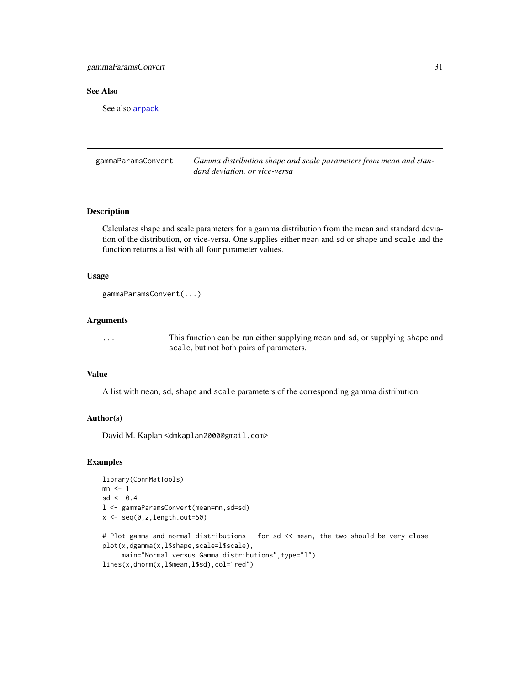# <span id="page-30-0"></span>gammaParamsConvert 31

# See Also

See also [arpack](#page-0-0)

gammaParamsConvert *Gamma distribution shape and scale parameters from mean and standard deviation, or vice-versa*

# Description

Calculates shape and scale parameters for a gamma distribution from the mean and standard deviation of the distribution, or vice-versa. One supplies either mean and sd or shape and scale and the function returns a list with all four parameter values.

# Usage

```
gammaParamsConvert(...)
```
#### Arguments

... This function can be run either supplying mean and sd, or supplying shape and scale, but not both pairs of parameters.

#### Value

A list with mean, sd, shape and scale parameters of the corresponding gamma distribution.

#### Author(s)

David M. Kaplan <dmkaplan2000@gmail.com>

# Examples

```
library(ConnMatTools)
mn \leq -1sd < -0.4l <- gammaParamsConvert(mean=mn,sd=sd)
x \leftarrow \text{seq}(0, 2, \text{length.out}=50)# Plot gamma and normal distributions - for sd << mean, the two should be very close
plot(x,dgamma(x,l$shape,scale=l$scale),
     main="Normal versus Gamma distributions", type="l")
```

```
lines(x,dnorm(x,l$mean,l$sd),col="red")
```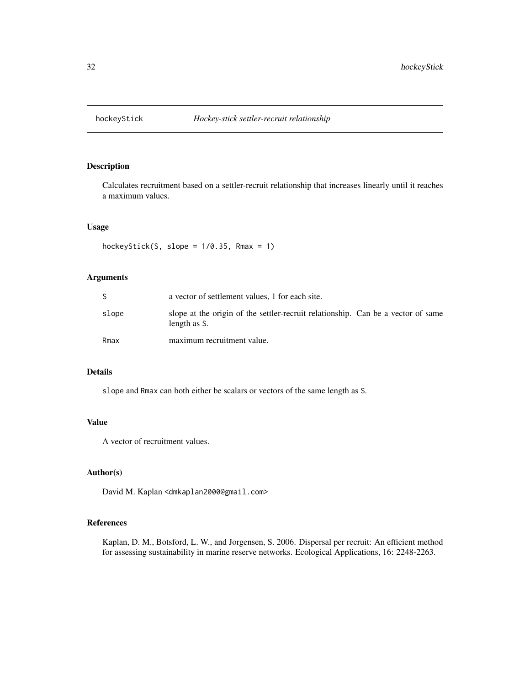<span id="page-31-1"></span><span id="page-31-0"></span>

# Description

Calculates recruitment based on a settler-recruit relationship that increases linearly until it reaches a maximum values.

# Usage

hockeyStick(S, slope =  $1/0.35$ , Rmax = 1)

# Arguments

|       | a vector of settlement values, 1 for each site.                                                  |
|-------|--------------------------------------------------------------------------------------------------|
| slope | slope at the origin of the settler-recruit relationship. Can be a vector of same<br>length as S. |
| Rmax  | maximum recruitment value.                                                                       |

# Details

slope and Rmax can both either be scalars or vectors of the same length as S.

# Value

A vector of recruitment values.

# Author(s)

David M. Kaplan <dmkaplan2000@gmail.com>

# References

Kaplan, D. M., Botsford, L. W., and Jorgensen, S. 2006. Dispersal per recruit: An efficient method for assessing sustainability in marine reserve networks. Ecological Applications, 16: 2248-2263.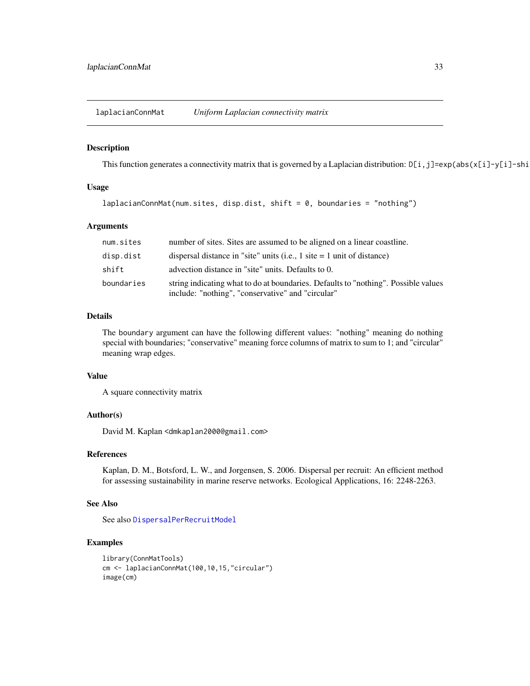<span id="page-32-0"></span>laplacianConnMat *Uniform Laplacian connectivity matrix*

#### Description

This function generates a connectivity matrix that is governed by a Laplacian distribution:  $D[i, j] = exp(abs(x[i]-y[i]-shi])$ 

# Usage

```
laplacianConnMat(num.sites, disp.dist, shift = 0, boundaries = "nothing")
```
#### Arguments

| num.sites  | number of sites. Sites are assumed to be aligned on a linear coastline.                                                                 |
|------------|-----------------------------------------------------------------------------------------------------------------------------------------|
| disp.dist  | dispersal distance in "site" units (i.e., $1$ site $= 1$ unit of distance)                                                              |
| shift      | advection distance in "site" units. Defaults to 0.                                                                                      |
| boundaries | string indicating what to do at boundaries. Defaults to "nothing". Possible values<br>include: "nothing", "conservative" and "circular" |

# Details

The boundary argument can have the following different values: "nothing" meaning do nothing special with boundaries; "conservative" meaning force columns of matrix to sum to 1; and "circular" meaning wrap edges.

#### Value

A square connectivity matrix

#### Author(s)

David M. Kaplan <dmkaplan2000@gmail.com>

#### References

Kaplan, D. M., Botsford, L. W., and Jorgensen, S. 2006. Dispersal per recruit: An efficient method for assessing sustainability in marine reserve networks. Ecological Applications, 16: 2248-2263.

#### See Also

See also [DispersalPerRecruitModel](#page-23-1)

# Examples

```
library(ConnMatTools)
cm <- laplacianConnMat(100,10,15,"circular")
image(cm)
```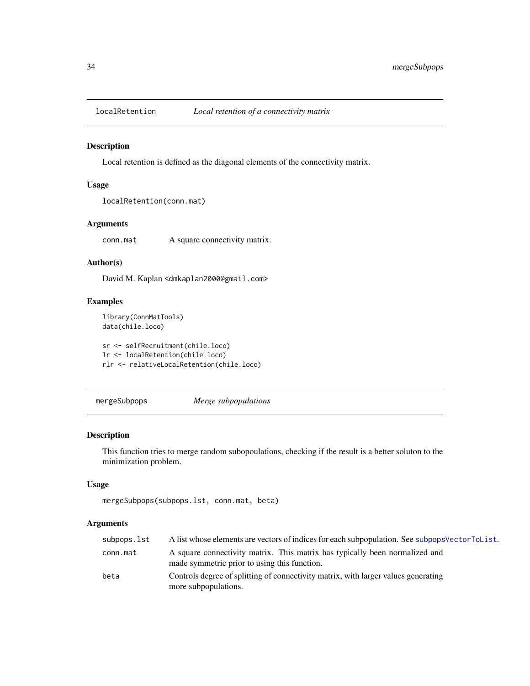<span id="page-33-0"></span>

#### Description

Local retention is defined as the diagonal elements of the connectivity matrix.

# Usage

```
localRetention(conn.mat)
```
# Arguments

conn.mat A square connectivity matrix.

# Author(s)

David M. Kaplan <dmkaplan2000@gmail.com>

# Examples

```
library(ConnMatTools)
data(chile.loco)
```
sr <- selfRecruitment(chile.loco) lr <- localRetention(chile.loco) rlr <- relativeLocalRetention(chile.loco)

<span id="page-33-1"></span>mergeSubpops *Merge subpopulations*

# Description

This function tries to merge random subopoulations, checking if the result is a better soluton to the minimization problem.

#### Usage

```
mergeSubpops(subpops.lst, conn.mat, beta)
```
#### Arguments

| subpops.lst | A list whose elements are vectors of indices for each subpopulation. See subpops Vector ToList.                             |
|-------------|-----------------------------------------------------------------------------------------------------------------------------|
| conn.mat    | A square connectivity matrix. This matrix has typically been normalized and<br>made symmetric prior to using this function. |
| beta        | Controls degree of splitting of connectivity matrix, with larger values generating<br>more subpopulations.                  |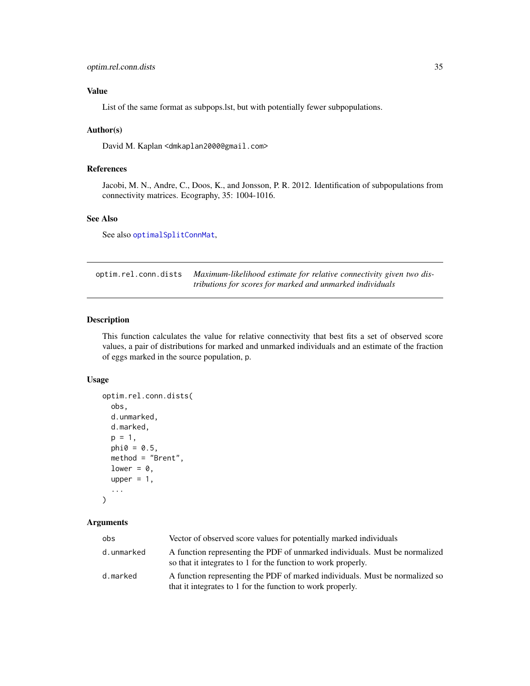# <span id="page-34-0"></span>Value

List of the same format as subpops.lst, but with potentially fewer subpopulations.

#### Author(s)

David M. Kaplan <dmkaplan2000@gmail.com>

# References

Jacobi, M. N., Andre, C., Doos, K., and Jonsson, P. R. 2012. Identification of subpopulations from connectivity matrices. Ecography, 35: 1004-1016.

# See Also

See also [optimalSplitConnMat](#page-36-1),

<span id="page-34-1"></span>optim.rel.conn.dists *Maximum-likelihood estimate for relative connectivity given two distributions for scores for marked and unmarked individuals*

# Description

This function calculates the value for relative connectivity that best fits a set of observed score values, a pair of distributions for marked and unmarked individuals and an estimate of the fraction of eggs marked in the source population, p.

#### Usage

```
optim.rel.conn.dists(
  obs,
  d.unmarked,
  d.marked,
  p = 1,
  phi = 0.5,
  method = "Brent",
  lower = \theta,
  upper = 1,
  ...
\mathcal{L}
```
#### Arguments

| obs        | Vector of observed score values for potentially marked individuals                                                                           |
|------------|----------------------------------------------------------------------------------------------------------------------------------------------|
| d.unmarked | A function representing the PDF of unmarked individuals. Must be normalized<br>so that it integrates to 1 for the function to work properly. |
| d.marked   | A function representing the PDF of marked individuals. Must be normalized so<br>that it integrates to 1 for the function to work properly.   |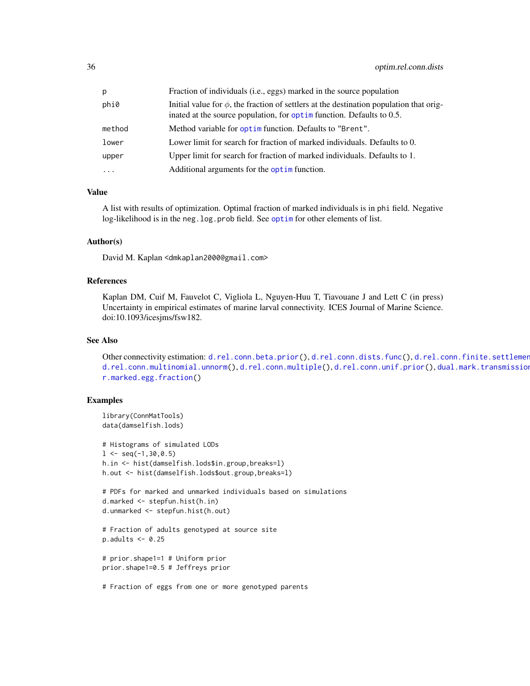<span id="page-35-0"></span>

| p        | Fraction of individuals (i.e., eggs) marked in the source population                                                                                                          |
|----------|-------------------------------------------------------------------------------------------------------------------------------------------------------------------------------|
| phi0     | Initial value for $\phi$ , the fraction of settlers at the destination population that orig-<br>inated at the source population, for $\phi$ pt implementance Defaults to 0.5. |
| method   | Method variable for optim function. Defaults to "Brent".                                                                                                                      |
| lower    | Lower limit for search for fraction of marked individuals. Defaults to 0.                                                                                                     |
| upper    | Upper limit for search for fraction of marked individuals. Defaults to 1.                                                                                                     |
| $\cdots$ | Additional arguments for the optim function.                                                                                                                                  |

#### Value

A list with results of optimization. Optimal fraction of marked individuals is in phi field. Negative log-likelihood is in the neg. log.prob field. See [optim](#page-0-0) for other elements of list.

# Author(s)

David M. Kaplan <dmkaplan2000@gmail.com>

# References

Kaplan DM, Cuif M, Fauvelot C, Vigliola L, Nguyen-Huu T, Tiavouane J and Lett C (in press) Uncertainty in empirical estimates of marine larval connectivity. ICES Journal of Marine Science. doi:10.1093/icesjms/fsw182.

#### See Also

Other connectivity estimation: [d.rel.conn.beta.prior\(](#page-6-1)), [d.rel.conn.dists.func\(](#page-9-1)), d.rel.conn.finite.settlement [d.rel.conn.multinomial.unnorm\(](#page-14-1)), [d.rel.conn.multiple\(](#page-17-1)), [d.rel.conn.unif.prior\(](#page-20-1)), dual.mark.transmission [r.marked.egg.fraction\(](#page-41-1))

# Examples

```
library(ConnMatTools)
data(damselfish.lods)
# Histograms of simulated LODs
1 \leq seq(-1,30,0.5)
h.in <- hist(damselfish.lods$in.group,breaks=l)
h.out <- hist(damselfish.lods$out.group,breaks=l)
# PDFs for marked and unmarked individuals based on simulations
d.marked <- stepfun.hist(h.in)
d.unmarked <- stepfun.hist(h.out)
# Fraction of adults genotyped at source site
p.addults < -0.25# prior.shape1=1 # Uniform prior
prior.shape1=0.5 # Jeffreys prior
# Fraction of eggs from one or more genotyped parents
```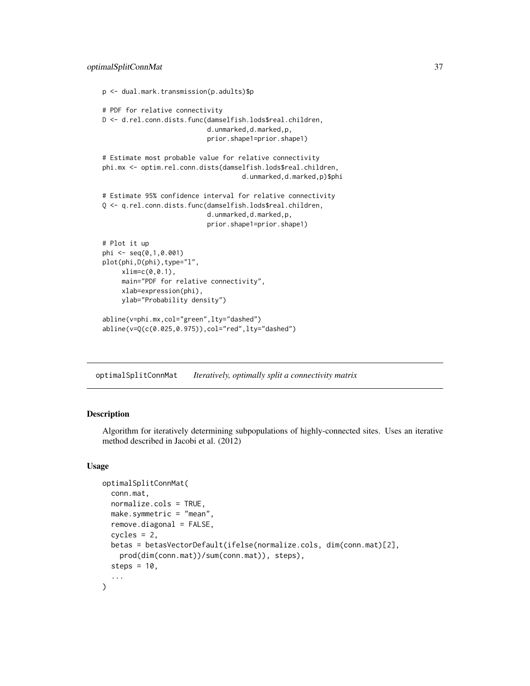```
p <- dual.mark.transmission(p.adults)$p
# PDF for relative connectivity
D <- d.rel.conn.dists.func(damselfish.lods$real.children,
                           d.unmarked,d.marked,p,
                           prior.shape1=prior.shape1)
# Estimate most probable value for relative connectivity
phi.mx <- optim.rel.conn.dists(damselfish.lods$real.children,
                                    d.unmarked,d.marked,p)$phi
# Estimate 95% confidence interval for relative connectivity
Q <- q.rel.conn.dists.func(damselfish.lods$real.children,
                           d.unmarked,d.marked,p,
                           prior.shape1=prior.shape1)
# Plot it up
phi <- seq(0,1,0.001)
plot(phi, D(phi), type="l",
     xlim=c(0,0.1),
     main="PDF for relative connectivity",
     xlab=expression(phi),
     ylab="Probability density")
abline(v=phi.mx,col="green",lty="dashed")
abline(v=Q(c(0.025,0.975)),col="red",lty="dashed")
```
<span id="page-36-1"></span>optimalSplitConnMat *Iteratively, optimally split a connectivity matrix*

# Description

Algorithm for iteratively determining subpopulations of highly-connected sites. Uses an iterative method described in Jacobi et al. (2012)

#### Usage

```
optimalSplitConnMat(
  conn.mat,
  normalize.cols = TRUE,
  make.symmetric = "mean",
  remove.diagonal = FALSE,
  cycles = 2,
 betas = betasVectorDefault(ifelse(normalize.cols, dim(conn.mat)[2],
    prod(dim(conn.mat))/sum(conn.mat)), steps),
  steps = 10,
  ...
)
```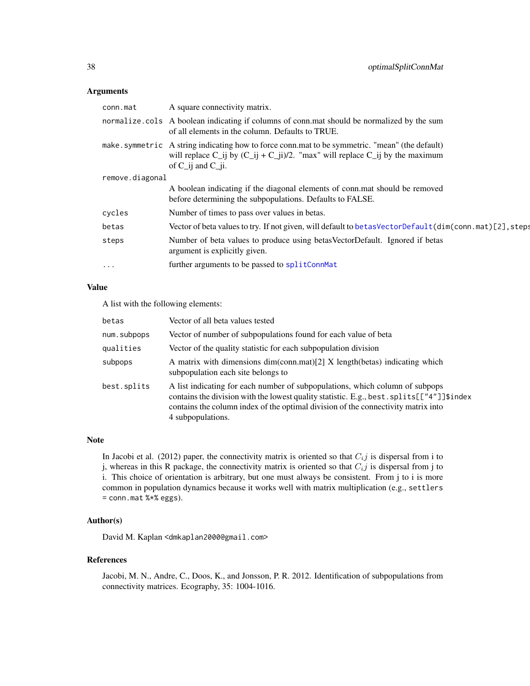#### <span id="page-37-0"></span>Arguments

| conn.mat        | A square connectivity matrix.                                                                                                                                                                               |
|-----------------|-------------------------------------------------------------------------------------------------------------------------------------------------------------------------------------------------------------|
|                 | normalize cols A boolean indicating if columns of connies a should be normalized by the sum<br>of all elements in the column. Defaults to TRUE.                                                             |
|                 | make.symmetric A string indicating how to force conn.mat to be symmetric. "mean" (the default)<br>will replace C_ij by $(C_i$ ij + C_ij)/2. "max" will replace C_ij by the maximum<br>of $C$ ij and $C$ ii. |
| remove.diagonal |                                                                                                                                                                                                             |
|                 | A boolean indicating if the diagonal elements of conn.mat should be removed<br>before determining the subpopulations. Defaults to FALSE.                                                                    |
| cycles          | Number of times to pass over values in betas.                                                                                                                                                               |
| betas           | Vector of beta values to try. If not given, will default to be tas VectorDefault (dim(conn.mat) [2], steps                                                                                                  |
| steps           | Number of beta values to produce using betas VectorDefault. Ignored if betas<br>argument is explicitly given.                                                                                               |
| $\cdots$        | further arguments to be passed to splitConnMat                                                                                                                                                              |

#### Value

A list with the following elements:

| betas       | Vector of all beta values tested                                                                                                                                                                                                                                                         |
|-------------|------------------------------------------------------------------------------------------------------------------------------------------------------------------------------------------------------------------------------------------------------------------------------------------|
| num.subpops | Vector of number of subpopulations found for each value of beta                                                                                                                                                                                                                          |
| qualities   | Vector of the quality statistic for each subpopulation division                                                                                                                                                                                                                          |
| subpops     | A matrix with dimensions dim(conn.mat)[2] X length(betas) indicating which<br>subpopulation each site belongs to                                                                                                                                                                         |
| best.splits | A list indicating for each number of subpopulations, which column of subpops<br>contains the division with the lowest quality statistic. E.g., best. splits $[[''4'']]\$ index<br>contains the column index of the optimal division of the connectivity matrix into<br>4 subpopulations. |

# Note

In Jacobi et al. (2012) paper, the connectivity matrix is oriented so that  $C_{i,j}$  is dispersal from i to j, whereas in this R package, the connectivity matrix is oriented so that  $C_{i,j}$  is dispersal from j to i. This choice of orientation is arbitrary, but one must always be consistent. From j to i is more common in population dynamics because it works well with matrix multiplication (e.g., settlers = conn.mat %\*% eggs).

# Author(s)

David M. Kaplan <dmkaplan2000@gmail.com>

#### References

Jacobi, M. N., Andre, C., Doos, K., and Jonsson, P. R. 2012. Identification of subpopulations from connectivity matrices. Ecography, 35: 1004-1016.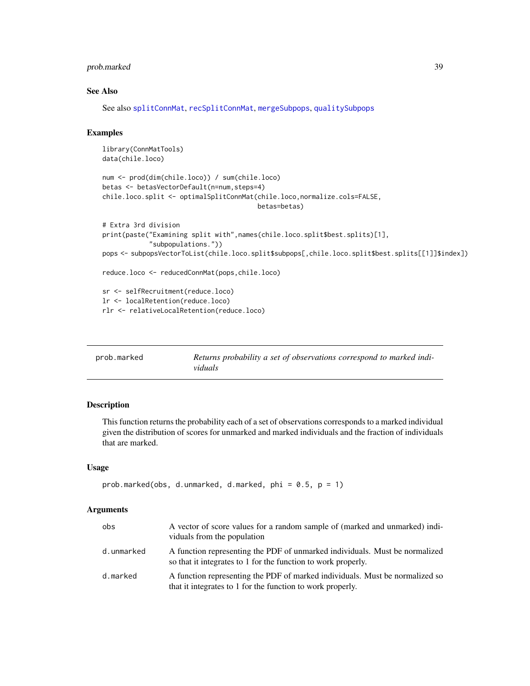# <span id="page-38-0"></span>prob.marked 39

# See Also

See also [splitConnMat](#page-49-1), [recSplitConnMat](#page-44-1), [mergeSubpops](#page-33-1), [qualitySubpops](#page-40-1)

# Examples

```
library(ConnMatTools)
data(chile.loco)
num <- prod(dim(chile.loco)) / sum(chile.loco)
betas <- betasVectorDefault(n=num,steps=4)
chile.loco.split <- optimalSplitConnMat(chile.loco,normalize.cols=FALSE,
                                        betas=betas)
# Extra 3rd division
print(paste("Examining split with",names(chile.loco.split$best.splits)[1],
            "subpopulations."))
pops <- subpopsVectorToList(chile.loco.split$subpops[,chile.loco.split$best.splits[[1]]$index])
reduce.loco <- reducedConnMat(pops,chile.loco)
sr <- selfRecruitment(reduce.loco)
lr <- localRetention(reduce.loco)
rlr <- relativeLocalRetention(reduce.loco)
```

| prob.marked | Returns probability a set of observations correspond to marked indi- |
|-------------|----------------------------------------------------------------------|
|             | viduals                                                              |

# Description

This function returns the probability each of a set of observations corresponds to a marked individual given the distribution of scores for unmarked and marked individuals and the fraction of individuals that are marked.

# Usage

```
prob.marked(obs, d.unmarked, d.marked, phi = 0.5, p = 1)
```
#### Arguments

| obs        | A vector of score values for a random sample of (marked and unmarked) indi-<br>viduals from the population                                   |
|------------|----------------------------------------------------------------------------------------------------------------------------------------------|
| d.unmarked | A function representing the PDF of unmarked individuals. Must be normalized<br>so that it integrates to 1 for the function to work properly. |
| d.marked   | A function representing the PDF of marked individuals. Must be normalized so<br>that it integrates to 1 for the function to work properly.   |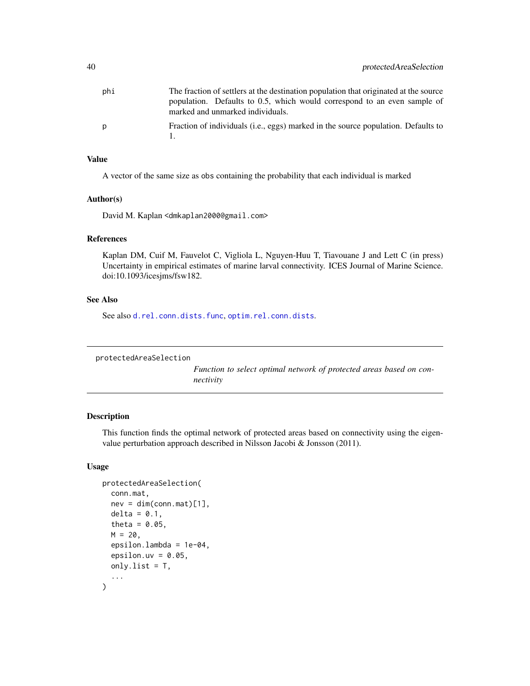<span id="page-39-0"></span>

| phi | The fraction of settlers at the destination population that originated at the source |
|-----|--------------------------------------------------------------------------------------|
|     | population. Defaults to 0.5, which would correspond to an even sample of             |
|     | marked and unmarked individuals.                                                     |
| p   | Fraction of individuals (i.e., eggs) marked in the source population. Defaults to    |
|     |                                                                                      |

### Value

A vector of the same size as obs containing the probability that each individual is marked

# Author(s)

David M. Kaplan <dmkaplan2000@gmail.com>

# References

Kaplan DM, Cuif M, Fauvelot C, Vigliola L, Nguyen-Huu T, Tiavouane J and Lett C (in press) Uncertainty in empirical estimates of marine larval connectivity. ICES Journal of Marine Science. doi:10.1093/icesjms/fsw182.

# See Also

See also [d.rel.conn.dists.func](#page-9-1), [optim.rel.conn.dists](#page-34-1).

```
protectedAreaSelection
```
*Function to select optimal network of protected areas based on connectivity*

#### Description

This function finds the optimal network of protected areas based on connectivity using the eigenvalue perturbation approach described in Nilsson Jacobi & Jonsson (2011).

# Usage

```
protectedAreaSelection(
  conn.mat,
  nev = dim(conn.mat)[1],delta = 0.1,
  theta = 0.05,
  M = 20.
  epsilon.lambda = 1e-04,
  epsilon.uv = 0.05,
  only.list = T,
  ...
)
```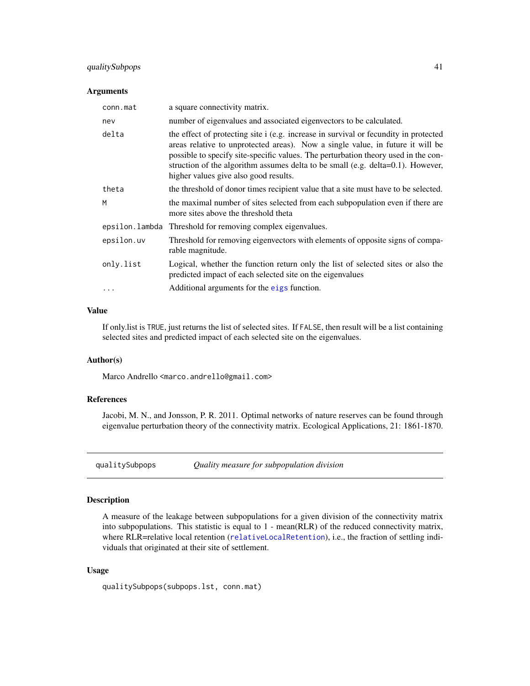# <span id="page-40-0"></span>qualitySubpops 41

#### **Arguments**

| conn.mat   | a square connectivity matrix.                                                                                                                                                                                                                                                                                                                                                            |
|------------|------------------------------------------------------------------------------------------------------------------------------------------------------------------------------------------------------------------------------------------------------------------------------------------------------------------------------------------------------------------------------------------|
| nev        | number of eigenvalues and associated eigenvectors to be calculated.                                                                                                                                                                                                                                                                                                                      |
| delta      | the effect of protecting site i (e.g. increase in survival or fecundity in protected<br>areas relative to unprotected areas). Now a single value, in future it will be<br>possible to specify site-specific values. The perturbation theory used in the con-<br>struction of the algorithm assumes delta to be small (e.g. delta=0.1). However,<br>higher values give also good results. |
| theta      | the threshold of donor times recipient value that a site must have to be selected.                                                                                                                                                                                                                                                                                                       |
| M          | the maximal number of sites selected from each subpopulation even if there are<br>more sites above the threshold theta                                                                                                                                                                                                                                                                   |
|            | epsilon. Lambda Threshold for removing complex eigenvalues.                                                                                                                                                                                                                                                                                                                              |
| epsilon.uv | Threshold for removing eigenvectors with elements of opposite signs of compa-<br>rable magnitude.                                                                                                                                                                                                                                                                                        |
| only.list  | Logical, whether the function return only the list of selected sites or also the<br>predicted impact of each selected site on the eigenvalues                                                                                                                                                                                                                                            |
|            | Additional arguments for the eigs function.                                                                                                                                                                                                                                                                                                                                              |

#### Value

If only.list is TRUE, just returns the list of selected sites. If FALSE, then result will be a list containing selected sites and predicted impact of each selected site on the eigenvalues.

#### Author(s)

Marco Andrello <marco.andrello@gmail.com>

# References

Jacobi, M. N., and Jonsson, P. R. 2011. Optimal networks of nature reserves can be found through eigenvalue perturbation theory of the connectivity matrix. Ecological Applications, 21: 1861-1870.

<span id="page-40-1"></span>qualitySubpops *Quality measure for subpopulation division*

# Description

A measure of the leakage between subpopulations for a given division of the connectivity matrix into subpopulations. This statistic is equal to 1 - mean(RLR) of the reduced connectivity matrix, where RLR=relative local retention ([relativeLocalRetention](#page-46-1)), i.e., the fraction of settling individuals that originated at their site of settlement.

# Usage

qualitySubpops(subpops.lst, conn.mat)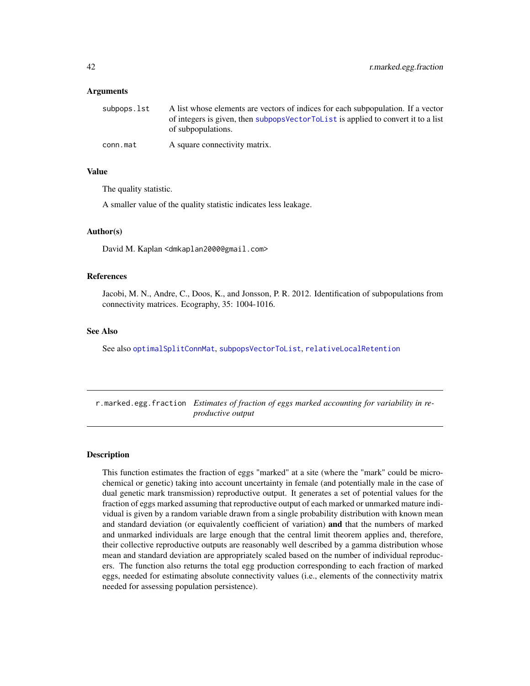#### <span id="page-41-0"></span>Arguments

| subpops.lst | A list whose elements are vectors of indices for each subpopulation. If a vector   |
|-------------|------------------------------------------------------------------------------------|
|             | of integers is given, then subpops Vector ToL is a applied to convert it to a list |
|             | of subpopulations.                                                                 |
| conn.mat    | A square connectivity matrix.                                                      |

# Value

The quality statistic.

A smaller value of the quality statistic indicates less leakage.

#### Author(s)

David M. Kaplan <dmkaplan2000@gmail.com>

#### References

Jacobi, M. N., Andre, C., Doos, K., and Jonsson, P. R. 2012. Identification of subpopulations from connectivity matrices. Ecography, 35: 1004-1016.

#### See Also

See also [optimalSplitConnMat](#page-36-1), [subpopsVectorToList](#page-51-1), [relativeLocalRetention](#page-46-1)

<span id="page-41-1"></span>r.marked.egg.fraction *Estimates of fraction of eggs marked accounting for variability in reproductive output*

#### Description

This function estimates the fraction of eggs "marked" at a site (where the "mark" could be microchemical or genetic) taking into account uncertainty in female (and potentially male in the case of dual genetic mark transmission) reproductive output. It generates a set of potential values for the fraction of eggs marked assuming that reproductive output of each marked or unmarked mature individual is given by a random variable drawn from a single probability distribution with known mean and standard deviation (or equivalently coefficient of variation) and that the numbers of marked and unmarked individuals are large enough that the central limit theorem applies and, therefore, their collective reproductive outputs are reasonably well described by a gamma distribution whose mean and standard deviation are appropriately scaled based on the number of individual reproducers. The function also returns the total egg production corresponding to each fraction of marked eggs, needed for estimating absolute connectivity values (i.e., elements of the connectivity matrix needed for assessing population persistence).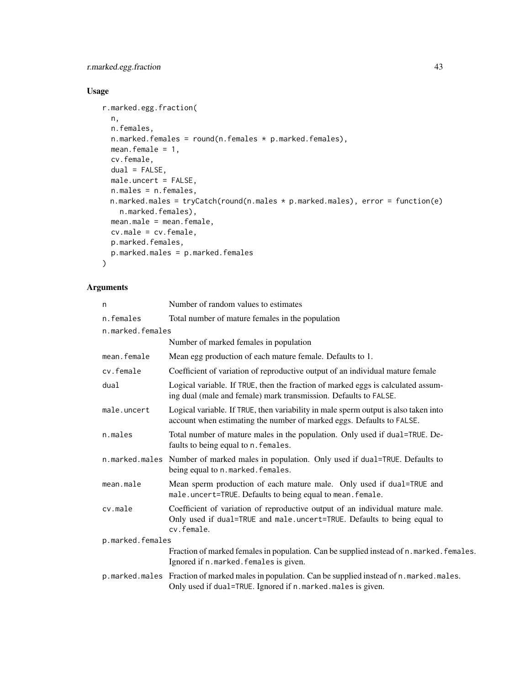# r.marked.egg.fraction 43

# Usage

```
r.marked.egg.fraction(
 n,
 n.females,
 n.marked.females = round(n.females * p.marked.females),
 mean.female = 1,
 cv.female,
 dual = FALSE,male.uncert = FALSE,
 n.males = n.females,
 n.marked.males = tryCatch(round(n.males * p.marked.males), error = function(e)
   n.marked.females),
 mean.male = mean.female,
 cv.male = cv.female,
 p.marked.females,
 p.marked.males = p.marked.females
```
# Arguments

 $\lambda$ 

| n                | Number of random values to estimates                                                                                                                                   |  |
|------------------|------------------------------------------------------------------------------------------------------------------------------------------------------------------------|--|
| n.females        | Total number of mature females in the population                                                                                                                       |  |
| n.marked.females |                                                                                                                                                                        |  |
|                  | Number of marked females in population                                                                                                                                 |  |
| mean.female      | Mean egg production of each mature female. Defaults to 1.                                                                                                              |  |
| cv.female        | Coefficient of variation of reproductive output of an individual mature female                                                                                         |  |
| dual             | Logical variable. If TRUE, then the fraction of marked eggs is calculated assum-<br>ing dual (male and female) mark transmission. Defaults to FALSE.                   |  |
| male.uncert      | Logical variable. If TRUE, then variability in male sperm output is also taken into<br>account when estimating the number of marked eggs. Defaults to FALSE.           |  |
| n.males          | Total number of mature males in the population. Only used if dual=TRUE. De-<br>faults to being equal to n. females.                                                    |  |
| n.marked.males   | Number of marked males in population. Only used if dual=TRUE. Defaults to<br>being equal to n.marked.females.                                                          |  |
| mean.male        | Mean sperm production of each mature male. Only used if dual=TRUE and<br>male.uncert=TRUE. Defaults to being equal to mean. female.                                    |  |
| cv.male          | Coefficient of variation of reproductive output of an individual mature male.<br>Only used if dual=TRUE and male.uncert=TRUE. Defaults to being equal to<br>cv.female. |  |
| p.marked.females |                                                                                                                                                                        |  |
|                  | Fraction of marked females in population. Can be supplied instead of n.marked. females.<br>Ignored if n.marked.females is given.                                       |  |
|                  | p.marked.males Fraction of marked males in population. Can be supplied instead of n.marked.males.<br>Only used if dual=TRUE. Ignored if n.marked.males is given.       |  |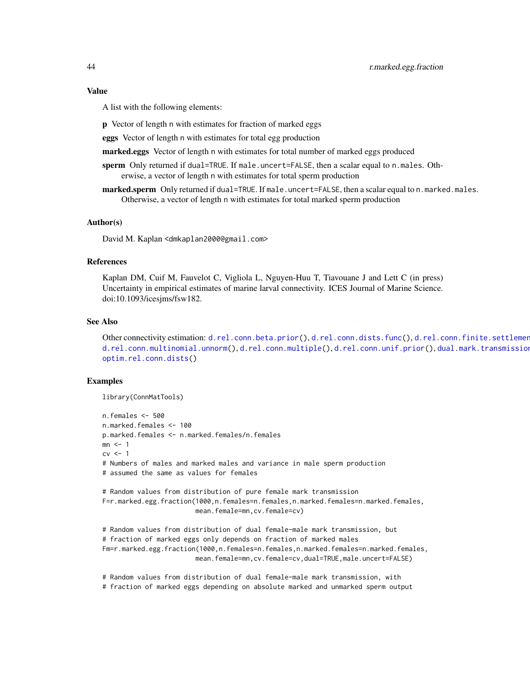#### <span id="page-43-0"></span>Value

A list with the following elements:

p Vector of length n with estimates for fraction of marked eggs

eggs Vector of length n with estimates for total egg production

marked.eggs Vector of length n with estimates for total number of marked eggs produced

sperm Only returned if dual=TRUE. If male.uncert=FALSE, then a scalar equal to n.males. Otherwise, a vector of length n with estimates for total sperm production

marked.sperm Only returned if dual=TRUE. If male.uncert=FALSE, then a scalar equal to n.marked.males. Otherwise, a vector of length n with estimates for total marked sperm production

#### Author(s)

David M. Kaplan <dmkaplan2000@gmail.com>

# References

Kaplan DM, Cuif M, Fauvelot C, Vigliola L, Nguyen-Huu T, Tiavouane J and Lett C (in press) Uncertainty in empirical estimates of marine larval connectivity. ICES Journal of Marine Science. doi:10.1093/icesjms/fsw182.

#### See Also

Other connectivity estimation: [d.rel.conn.beta.prior\(](#page-6-1)), [d.rel.conn.dists.func\(](#page-9-1)), d.rel.conn.finite.settlement [d.rel.conn.multinomial.unnorm\(](#page-14-1)), [d.rel.conn.multiple\(](#page-17-1)), [d.rel.conn.unif.prior\(](#page-20-1)), dual.mark.transmission [optim.rel.conn.dists\(](#page-34-1))

#### Examples

```
library(ConnMatTools)
```

```
n.females <- 500
n.marked.females <- 100
p.marked.females <- n.marked.females/n.females
mn \leq -1cv \leq -1# Numbers of males and marked males and variance in male sperm production
# assumed the same as values for females
# Random values from distribution of pure female mark transmission
F=r.marked.egg.fraction(1000,n.females=n.females,n.marked.females=n.marked.females,
                        mean.female=mn,cv.female=cv)
# Random values from distribution of dual female-male mark transmission, but
# fraction of marked eggs only depends on fraction of marked males
Fm=r.marked.egg.fraction(1000,n.females=n.females,n.marked.females=n.marked.females,
                        mean.female=mn,cv.female=cv,dual=TRUE,male.uncert=FALSE)
```
# Random values from distribution of dual female-male mark transmission, with # fraction of marked eggs depending on absolute marked and unmarked sperm output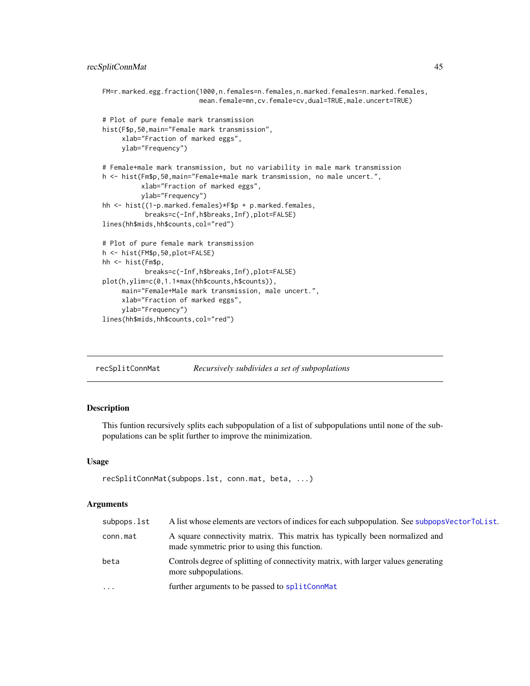```
FM=r.marked.egg.fraction(1000,n.females=n.females,n.marked.females=n.marked.females,
                         mean.female=mn,cv.female=cv,dual=TRUE,male.uncert=TRUE)
# Plot of pure female mark transmission
hist(F$p,50,main="Female mark transmission",
     xlab="Fraction of marked eggs",
     ylab="Frequency")
# Female+male mark transmission, but no variability in male mark transmission
h <- hist(Fm$p,50,main="Female+male mark transmission, no male uncert.",
          xlab="Fraction of marked eggs",
          ylab="Frequency")
hh <- hist((1-p.marked.females)*F$p + p.marked.females,
           breaks=c(-Inf,h$breaks,Inf),plot=FALSE)
lines(hh$mids,hh$counts,col="red")
# Plot of pure female mark transmission
h <- hist(FM$p,50,plot=FALSE)
hh <- hist(Fm$p,
           breaks=c(-Inf,h$breaks,Inf),plot=FALSE)
plot(h,ylim=c(0,1.1*max(hh$counts,h$counts)),
     main="Female+Male mark transmission, male uncert.",
     xlab="Fraction of marked eggs",
     ylab="Frequency")
lines(hh$mids,hh$counts,col="red")
```
<span id="page-44-1"></span>recSplitConnMat *Recursively subdivides a set of subpoplations*

# Description

This funtion recursively splits each subpopulation of a list of subpopulations until none of the subpopulations can be split further to improve the minimization.

#### Usage

```
recSplitConnMat(subpops.lst, conn.mat, beta, ...)
```
#### Arguments

| subpops.lst | A list whose elements are vectors of indices for each subpopulation. See subpops Vector To List.                            |
|-------------|-----------------------------------------------------------------------------------------------------------------------------|
| conn.mat    | A square connectivity matrix. This matrix has typically been normalized and<br>made symmetric prior to using this function. |
| beta        | Controls degree of splitting of connectivity matrix, with larger values generating<br>more subpopulations.                  |
| .           | further arguments to be passed to splitConnMat                                                                              |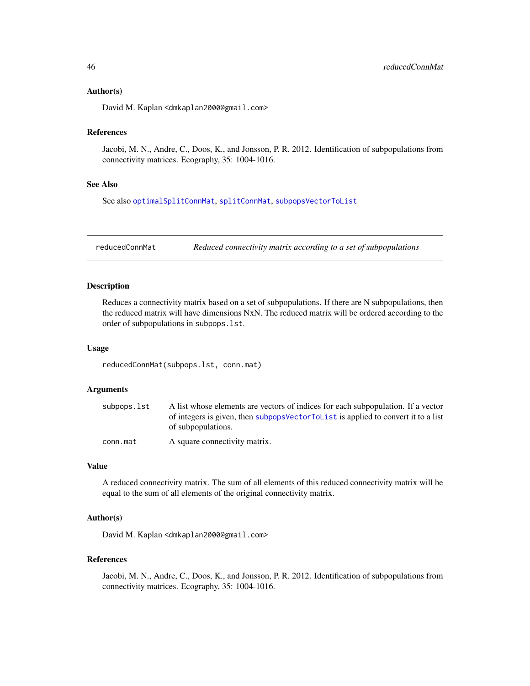#### <span id="page-45-0"></span>Author(s)

David M. Kaplan <dmkaplan2000@gmail.com>

#### References

Jacobi, M. N., Andre, C., Doos, K., and Jonsson, P. R. 2012. Identification of subpopulations from connectivity matrices. Ecography, 35: 1004-1016.

#### See Also

See also [optimalSplitConnMat](#page-36-1), [splitConnMat](#page-49-1), [subpopsVectorToList](#page-51-1)

reducedConnMat *Reduced connectivity matrix according to a set of subpopulations*

#### Description

Reduces a connectivity matrix based on a set of subpopulations. If there are N subpopulations, then the reduced matrix will have dimensions NxN. The reduced matrix will be ordered according to the order of subpopulations in subpops.lst.

# Usage

reducedConnMat(subpops.lst, conn.mat)

#### Arguments

| subpops.lst | A list whose elements are vectors of indices for each subpopulation. If a vector      |
|-------------|---------------------------------------------------------------------------------------|
|             | of integers is given, then subpops Vector ToL is t is applied to convert it to a list |
|             | of subpopulations.                                                                    |
| conn.mat    | A square connectivity matrix.                                                         |

# Value

A reduced connectivity matrix. The sum of all elements of this reduced connectivity matrix will be equal to the sum of all elements of the original connectivity matrix.

# Author(s)

David M. Kaplan <dmkaplan2000@gmail.com>

# References

Jacobi, M. N., Andre, C., Doos, K., and Jonsson, P. R. 2012. Identification of subpopulations from connectivity matrices. Ecography, 35: 1004-1016.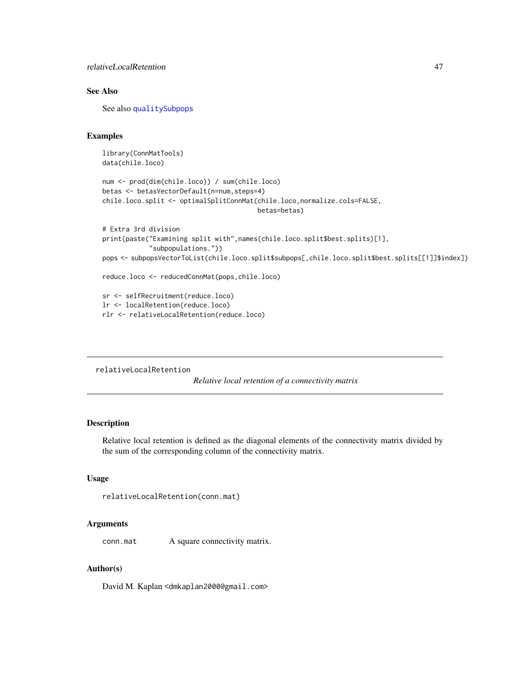<span id="page-46-0"></span>relativeLocalRetention 47

# See Also

See also [qualitySubpops](#page-40-1)

#### Examples

```
library(ConnMatTools)
data(chile.loco)
```

```
num <- prod(dim(chile.loco)) / sum(chile.loco)
betas <- betasVectorDefault(n=num,steps=4)
chile.loco.split <- optimalSplitConnMat(chile.loco,normalize.cols=FALSE,
                                        betas=betas)
```

```
# Extra 3rd division
print(paste("Examining split with",names(chile.loco.split$best.splits)[1],
            "subpopulations."))
pops <- subpopsVectorToList(chile.loco.split$subpops[,chile.loco.split$best.splits[[1]]$index])
reduce.loco <- reducedConnMat(pops,chile.loco)
```

```
sr <- selfRecruitment(reduce.loco)
lr <- localRetention(reduce.loco)
rlr <- relativeLocalRetention(reduce.loco)
```

```
relativeLocalRetention
```
*Relative local retention of a connectivity matrix*

#### Description

Relative local retention is defined as the diagonal elements of the connectivity matrix divided by the sum of the corresponding column of the connectivity matrix.

#### Usage

```
relativeLocalRetention(conn.mat)
```
#### Arguments

conn.mat A square connectivity matrix.

#### Author(s)

David M. Kaplan <dmkaplan2000@gmail.com>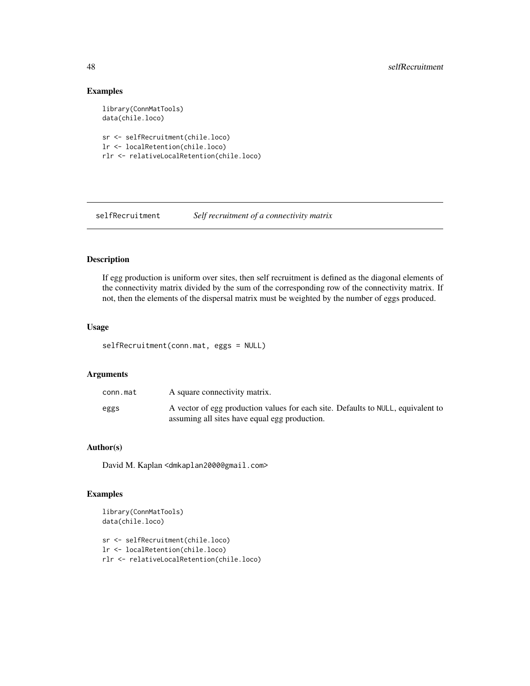# Examples

```
library(ConnMatTools)
data(chile.loco)
sr <- selfRecruitment(chile.loco)
lr <- localRetention(chile.loco)
```

```
rlr <- relativeLocalRetention(chile.loco)
```
selfRecruitment *Self recruitment of a connectivity matrix*

# Description

If egg production is uniform over sites, then self recruitment is defined as the diagonal elements of the connectivity matrix divided by the sum of the corresponding row of the connectivity matrix. If not, then the elements of the dispersal matrix must be weighted by the number of eggs produced.

#### Usage

```
selfRecruitment(conn.mat, eggs = NULL)
```
# Arguments

| conn.mat | A square connectivity matrix.                                                                                                     |
|----------|-----------------------------------------------------------------------------------------------------------------------------------|
| eggs     | A vector of egg production values for each site. Defaults to NULL, equivalent to<br>assuming all sites have equal egg production. |

# Author(s)

David M. Kaplan <dmkaplan2000@gmail.com>

#### Examples

```
library(ConnMatTools)
data(chile.loco)
```
sr <- selfRecruitment(chile.loco) lr <- localRetention(chile.loco) rlr <- relativeLocalRetention(chile.loco)

<span id="page-47-0"></span>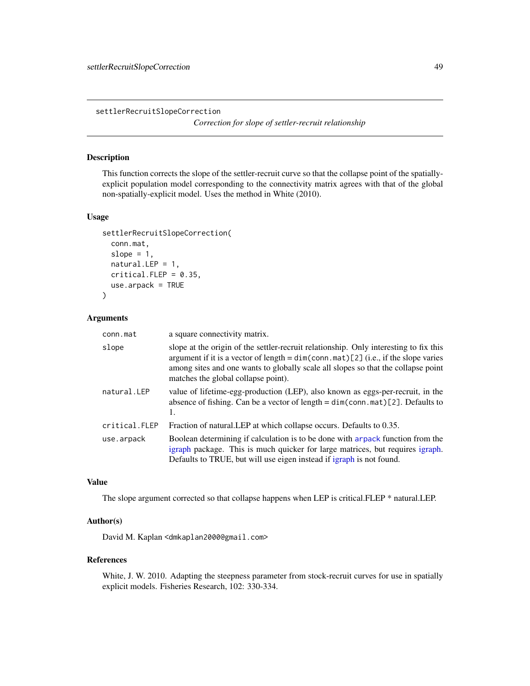<span id="page-48-0"></span>settlerRecruitSlopeCorrection

*Correction for slope of settler-recruit relationship*

# Description

This function corrects the slope of the settler-recruit curve so that the collapse point of the spatiallyexplicit population model corresponding to the connectivity matrix agrees with that of the global non-spatially-explicit model. Uses the method in White (2010).

#### Usage

```
settlerRecruitSlopeCorrection(
  conn.mat,
  slope = 1,
 natural.LEP = 1,
 critical.FLEP = 0.35,use.arpack = TRUE
)
```
#### Arguments

| conn.mat      | a square connectivity matrix.                                                                                                                                                                                                                                                                             |
|---------------|-----------------------------------------------------------------------------------------------------------------------------------------------------------------------------------------------------------------------------------------------------------------------------------------------------------|
| slope         | slope at the origin of the settler-recruit relationship. Only interesting to fix this<br>argument if it is a vector of length = $dim(conn.mat)[2]$ (i.e., if the slope varies<br>among sites and one wants to globally scale all slopes so that the collapse point<br>matches the global collapse point). |
| natural.LEP   | value of lifetime-egg-production (LEP), also known as eggs-per-recruit, in the<br>absence of fishing. Can be a vector of length = $dim(conn.mat)[2]$ . Defaults to<br>1.                                                                                                                                  |
| critical.FLEP | Fraction of natural. LEP at which collapse occurs. Defaults to 0.35.                                                                                                                                                                                                                                      |
| use.arpack    | Boolean determining if calculation is to be done with arpack function from the<br>igraph package. This is much quicker for large matrices, but requires igraph.<br>Defaults to TRUE, but will use eigen instead if igraph is not found.                                                                   |

#### Value

The slope argument corrected so that collapse happens when LEP is critical.FLEP \* natural.LEP.

#### Author(s)

David M. Kaplan <dmkaplan2000@gmail.com>

#### References

White, J. W. 2010. Adapting the steepness parameter from stock-recruit curves for use in spatially explicit models. Fisheries Research, 102: 330-334.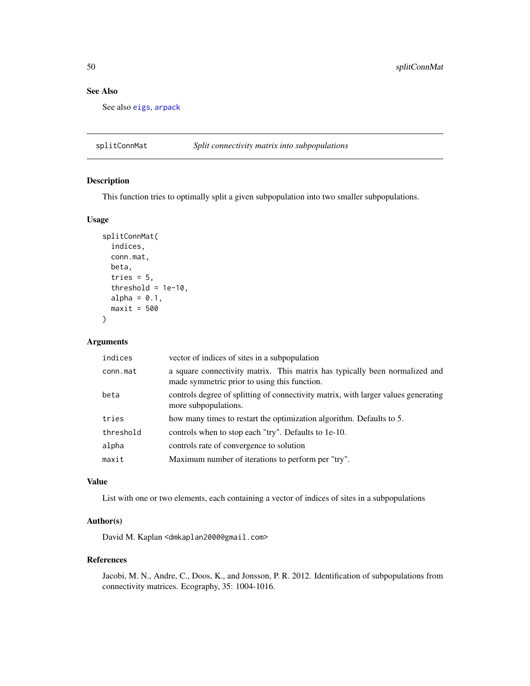# <span id="page-49-0"></span>See Also

See also [eigs](#page-29-1), [arpack](#page-0-0)

<span id="page-49-1"></span>splitConnMat *Split connectivity matrix into subpopulations*

# Description

This function tries to optimally split a given subpopulation into two smaller subpopulations.

# Usage

```
splitConnMat(
  indices,
  conn.mat,
 beta,
  tries = 5,
  threshold = 1e-10,
  alpha = 0.1,
 maxit = 500\mathcal{L}
```
### Arguments

| vector of indices of sites in a subpopulation                                                                               |
|-----------------------------------------------------------------------------------------------------------------------------|
| a square connectivity matrix. This matrix has typically been normalized and<br>made symmetric prior to using this function. |
| controls degree of splitting of connectivity matrix, with larger values generating<br>more subpopulations.                  |
| how many times to restart the optimization algorithm. Defaults to 5.                                                        |
| controls when to stop each "try". Defaults to 1e-10.                                                                        |
| controls rate of convergence to solution                                                                                    |
| Maximum number of iterations to perform per "try".                                                                          |
|                                                                                                                             |

# Value

List with one or two elements, each containing a vector of indices of sites in a subpopulations

#### Author(s)

David M. Kaplan <dmkaplan2000@gmail.com>

#### References

Jacobi, M. N., Andre, C., Doos, K., and Jonsson, P. R. 2012. Identification of subpopulations from connectivity matrices. Ecography, 35: 1004-1016.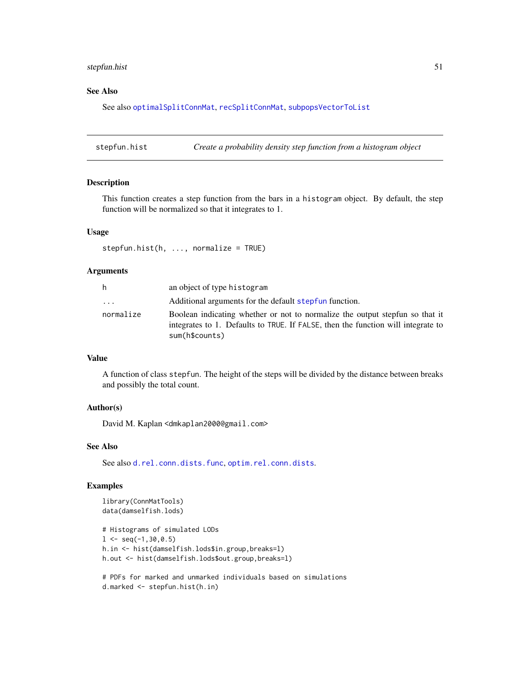# <span id="page-50-0"></span>stepfun.hist 51

# See Also

See also [optimalSplitConnMat](#page-36-1), [recSplitConnMat](#page-44-1), [subpopsVectorToList](#page-51-1)

stepfun.hist *Create a probability density step function from a histogram object*

#### Description

This function creates a step function from the bars in a histogram object. By default, the step function will be normalized so that it integrates to 1.

#### Usage

 $stepfun.hist(h, ..., normalize = TRUE)$ 

# Arguments

| h         | an object of type histogram                                                                                                                                                        |
|-----------|------------------------------------------------------------------------------------------------------------------------------------------------------------------------------------|
| $\cdots$  | Additional arguments for the default stepfun function.                                                                                                                             |
| normalize | Boolean indicating whether or not to normalize the output stepfun so that it<br>integrates to 1. Defaults to TRUE. If FALSE, then the function will integrate to<br>sum(h\$counts) |

#### Value

A function of class stepfun. The height of the steps will be divided by the distance between breaks and possibly the total count.

# Author(s)

David M. Kaplan <dmkaplan2000@gmail.com>

# See Also

See also [d.rel.conn.dists.func](#page-9-1), [optim.rel.conn.dists](#page-34-1).

# Examples

```
library(ConnMatTools)
data(damselfish.lods)
```

```
# Histograms of simulated LODs
1 \leftarrow \text{seq}(-1, 30, 0.5)h.in <- hist(damselfish.lods$in.group,breaks=l)
h.out <- hist(damselfish.lods$out.group,breaks=l)
```

```
# PDFs for marked and unmarked individuals based on simulations
d.marked <- stepfun.hist(h.in)
```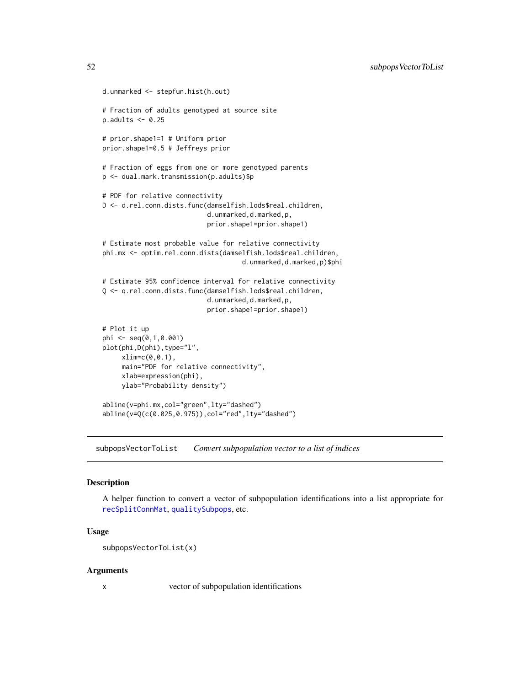```
d.unmarked <- stepfun.hist(h.out)
# Fraction of adults genotyped at source site
p.addults < -0.25# prior.shape1=1 # Uniform prior
prior.shape1=0.5 # Jeffreys prior
# Fraction of eggs from one or more genotyped parents
p <- dual.mark.transmission(p.adults)$p
# PDF for relative connectivity
D <- d.rel.conn.dists.func(damselfish.lods$real.children,
                           d.unmarked,d.marked,p,
                           prior.shape1=prior.shape1)
# Estimate most probable value for relative connectivity
phi.mx <- optim.rel.conn.dists(damselfish.lods$real.children,
                                    d.unmarked,d.marked,p)$phi
# Estimate 95% confidence interval for relative connectivity
Q <- q.rel.conn.dists.func(damselfish.lods$real.children,
                           d.unmarked,d.marked,p,
                           prior.shape1=prior.shape1)
# Plot it up
phi <- seq(0,1,0.001)
plot(phi,D(phi),type="l",
    xlim=c(0,0.1),
     main="PDF for relative connectivity",
    xlab=expression(phi),
    ylab="Probability density")
abline(v=phi.mx,col="green",lty="dashed")
abline(v=Q(c(0.025,0.975)),col="red",lty="dashed")
```
<span id="page-51-1"></span>subpopsVectorToList *Convert subpopulation vector to a list of indices*

#### Description

A helper function to convert a vector of subpopulation identifications into a list appropriate for [recSplitConnMat](#page-44-1), [qualitySubpops](#page-40-1), etc.

#### Usage

```
subpopsVectorToList(x)
```
#### Arguments

x vector of subpopulation identifications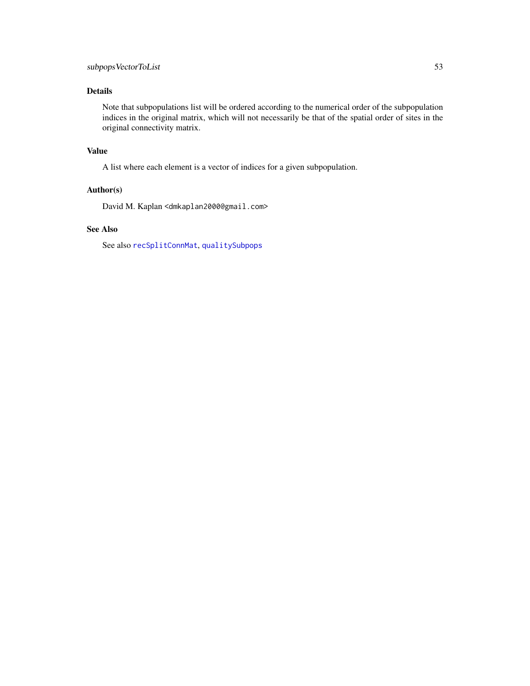# <span id="page-52-0"></span>Details

Note that subpopulations list will be ordered according to the numerical order of the subpopulation indices in the original matrix, which will not necessarily be that of the spatial order of sites in the original connectivity matrix.

# Value

A list where each element is a vector of indices for a given subpopulation.

# Author(s)

David M. Kaplan <dmkaplan2000@gmail.com>

# See Also

See also [recSplitConnMat](#page-44-1), [qualitySubpops](#page-40-1)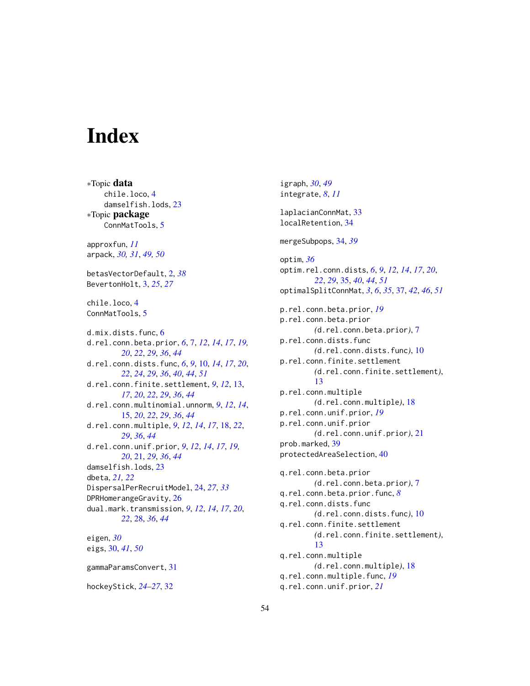# <span id="page-53-0"></span>**Index**

∗Topic data chile.loco, [4](#page-3-0) damselfish.lods, [23](#page-22-0) ∗Topic package ConnMatTools, [5](#page-4-0) approxfun, *[11](#page-10-0)* arpack, *[30,](#page-29-0) [31](#page-30-0)*, *[49,](#page-48-0) [50](#page-49-0)* betasVectorDefault, [2,](#page-1-0) *[38](#page-37-0)* BevertonHolt, [3,](#page-2-0) *[25](#page-24-0)*, *[27](#page-26-0)* chile.loco, [4](#page-3-0) ConnMatTools, [5](#page-4-0) d.mix.dists.func, [6](#page-5-0) d.rel.conn.beta.prior, *[6](#page-5-0)*, [7,](#page-6-0) *[12](#page-11-0)*, *[14](#page-13-0)*, *[17](#page-16-0)*, *[19,](#page-18-0) [20](#page-19-0)*, *[22](#page-21-0)*, *[29](#page-28-0)*, *[36](#page-35-0)*, *[44](#page-43-0)* d.rel.conn.dists.func, *[6](#page-5-0)*, *[9](#page-8-0)*, [10,](#page-9-0) *[14](#page-13-0)*, *[17](#page-16-0)*, *[20](#page-19-0)*, *[22](#page-21-0)*, *[24](#page-23-0)*, *[29](#page-28-0)*, *[36](#page-35-0)*, *[40](#page-39-0)*, *[44](#page-43-0)*, *[51](#page-50-0)* d.rel.conn.finite.settlement, *[9](#page-8-0)*, *[12](#page-11-0)*, [13,](#page-12-0) *[17](#page-16-0)*, *[20](#page-19-0)*, *[22](#page-21-0)*, *[29](#page-28-0)*, *[36](#page-35-0)*, *[44](#page-43-0)* d.rel.conn.multinomial.unnorm, *[9](#page-8-0)*, *[12](#page-11-0)*, *[14](#page-13-0)*, [15,](#page-14-0) *[20](#page-19-0)*, *[22](#page-21-0)*, *[29](#page-28-0)*, *[36](#page-35-0)*, *[44](#page-43-0)* d.rel.conn.multiple, *[9](#page-8-0)*, *[12](#page-11-0)*, *[14](#page-13-0)*, *[17](#page-16-0)*, [18,](#page-17-0) *[22](#page-21-0)*, *[29](#page-28-0)*, *[36](#page-35-0)*, *[44](#page-43-0)* d.rel.conn.unif.prior, *[9](#page-8-0)*, *[12](#page-11-0)*, *[14](#page-13-0)*, *[17](#page-16-0)*, *[19,](#page-18-0) [20](#page-19-0)*, [21,](#page-20-0) *[29](#page-28-0)*, *[36](#page-35-0)*, *[44](#page-43-0)* damselfish.lods, [23](#page-22-0) dbeta, *[21,](#page-20-0) [22](#page-21-0)* DispersalPerRecruitModel, [24,](#page-23-0) *[27](#page-26-0)*, *[33](#page-32-0)* DPRHomerangeGravity, [26](#page-25-0) dual.mark.transmission, *[9](#page-8-0)*, *[12](#page-11-0)*, *[14](#page-13-0)*, *[17](#page-16-0)*, *[20](#page-19-0)*, *[22](#page-21-0)*, [28,](#page-27-0) *[36](#page-35-0)*, *[44](#page-43-0)* eigen, *[30](#page-29-0)* eigs, [30,](#page-29-0) *[41](#page-40-0)*, *[50](#page-49-0)* gammaParamsConvert, [31](#page-30-0) hockeyStick, *[24](#page-23-0)[–27](#page-26-0)*, [32](#page-31-0)

igraph, *[30](#page-29-0)*, *[49](#page-48-0)* integrate, *[8](#page-7-0)*, *[11](#page-10-0)* laplacianConnMat, [33](#page-32-0) localRetention, [34](#page-33-0) mergeSubpops, [34,](#page-33-0) *[39](#page-38-0)* optim, *[36](#page-35-0)* optim.rel.conn.dists, *[6](#page-5-0)*, *[9](#page-8-0)*, *[12](#page-11-0)*, *[14](#page-13-0)*, *[17](#page-16-0)*, *[20](#page-19-0)*, *[22](#page-21-0)*, *[29](#page-28-0)*, [35,](#page-34-0) *[40](#page-39-0)*, *[44](#page-43-0)*, *[51](#page-50-0)* optimalSplitConnMat, *[3](#page-2-0)*, *[6](#page-5-0)*, *[35](#page-34-0)*, [37,](#page-36-0) *[42](#page-41-0)*, *[46](#page-45-0)*, *[51](#page-50-0)* p.rel.conn.beta.prior, *[19](#page-18-0)* p.rel.conn.beta.prior *(*d.rel.conn.beta.prior*)*, [7](#page-6-0) p.rel.conn.dists.func *(*d.rel.conn.dists.func*)*, [10](#page-9-0) p.rel.conn.finite.settlement *(*d.rel.conn.finite.settlement*)*, [13](#page-12-0) p.rel.conn.multiple *(*d.rel.conn.multiple*)*, [18](#page-17-0) p.rel.conn.unif.prior, *[19](#page-18-0)* p.rel.conn.unif.prior *(*d.rel.conn.unif.prior*)*, [21](#page-20-0) prob.marked, [39](#page-38-0) protectedAreaSelection, [40](#page-39-0) q.rel.conn.beta.prior *(*d.rel.conn.beta.prior*)*, [7](#page-6-0) q.rel.conn.beta.prior.func, *[8](#page-7-0)* q.rel.conn.dists.func *(*d.rel.conn.dists.func*)*, [10](#page-9-0) q.rel.conn.finite.settlement *(*d.rel.conn.finite.settlement*)*, [13](#page-12-0) q.rel.conn.multiple *(*d.rel.conn.multiple*)*, [18](#page-17-0) q.rel.conn.multiple.func, *[19](#page-18-0)* q.rel.conn.unif.prior, *[21](#page-20-0)*